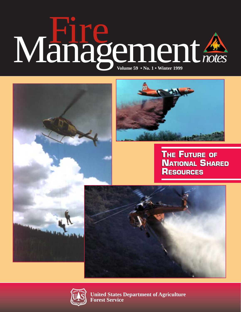# $$





**United States Department of Agriculture Forest Service**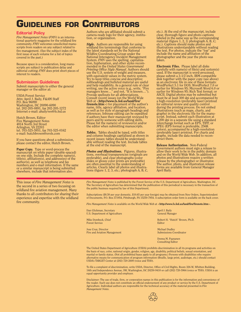# <span id="page-1-0"></span>**GUIDELINES FOR CONTRIBUTORS**

### Editorial Policy

*Fire Management Notes* (*FMN*) is an international quarterly magazine for the wildland fire community. *FMN* welcomes unsolicited manuscripts from readers on any subject related to fire management. (See the subject index of the first issue of each volume for a list of topics covered in the past.)

Because space is a consideration, long manuscripts are subject to publication delay and editorial cutting; *FMN* does print short pieces of interest to readers.

### Submission Guidelines

Submit manuscripts to either the general manager or the editor at:

USDA Forest Service Attn: April J. Baily, F&AM Staff P.O. Box 96090 Washington, DC 20090-6090 tel. 202-205-0891, fax 202-205-1272 Internet e-mail: abaily/wo@fs.fed.us

Hutch Brown, Editor Fire Management Notes 4814 North 3rd Street Arlington, VA 22203 tel. 703-525-5951, fax 703-525-0162 e-mail: hutchbrown@erols.com

If you have questions about a submission, please contact the editor, Hutch Brown.

Paper Copy. Type or word-process the manuscript on white paper (double-spaced) on one side. Include the complete name(s), title(s), affiliation(s), and address(es) of the author(s), as well as telephone and fax numbers and e-mail information. If the same or a similar manuscript is being submitted elsewhere, include that information also.

This issue of *Fire Management Notes* is the second in a series of two focusing on wildland fire aviation management. Many thanks to all contributors for sharing their experience and expertise with the wildland fire community.

Authors who are affiliated should submit a camera-ready logo for their agency, institution, or organization.

*Style.* Authors are responsible for using wildland fire terminology that conforms to the latest standards set by the National Wildfire Coordinating Group under the National Interagency Incident Management System. *FMN* uses the spelling, capitalization, hyphenation, and other styles recommended in the *United States Government Printing Office Style Manual*. Authors should use the U.S. system of weight and measure, with equivalent values in the metric system. Try to keep titles concise and descriptive; subheadings and bulleted material are useful and help readability. As a general rule of clear<br>writing, use the active voice (e.g., write, "Fire<br>managers know...." and not, "It is known...").<br>Provide spellouts for all abbreviations.<br>Consult recent issues (on the World firenote.htm>) for placement of the author's name, title, agency affiliation, and location, as well as for style of paragraph headings and references. Inhouse editing can be expedited if authors have their manuscript reviewed by peers and by someone with editing skills. Please list the name(s) of reviewer(s) and/or the editor when submitting manuscripts.

*Tables.* Tables should be typed, with titles and column headings capitalized as shown in recent issues; tables should be understandable without reading the text. Include tables at the end of the manuscript.

*Photos and Illustrations.* Figures, illustrations, overhead transparencies (originals are preferable), and clear photographs (color slides or glossy color prints are preferable) are often essential to the understanding of articles. Clearly label all photos and illustrations (figure 1, 2, 3, etc.; photograph A, B, C, etc.). At the end of the manuscript, include clear, thorough figure and photo captions labeled in the same way as the corresponding material (figure 1, 2, 3; photograph A, B, C; etc.). Captions should make photos and illustrations understandable without reading the text. For photos, indicate the "top" and include the name and affiliation of the photographer and the year the photo was taken.

**Electronic Files.** Please label all disks carefully with name(s) of file(s) and system(s) used. If the manuscript is word-processed, please submit a 3-1/2 inch, IBM-compatible disk together with the paper copy (see above) as an electronic file in one of these formats: WordPerfect 5.1 for DOS; WordPerfect 7.0 or earlier for Windows 95; Microsoft Word 6.0 or earlier for Windows 95; Rich Text format; or ASCII. Digital photos may be submitted but must be at least 300 dpi and accompanied by a high-resolution (preferably laser) printout for editorial review and quality control during the printing process. Do not embed illustrations (such as maps, charts, and graphs) in the electronic file for the manuscript. Instead, submit each illustration at 1,200 dpi in a separate file using a standard interchange format such as EPS, TIFF, or JPEG (EPS format is preferable, 256K colors), accompanied by a high-resolution (preferably laser) printout. For charts and graphs, include the data needed to reconstruct them.

Release Authorization. Non-Federal Government authors must sign a release to allow their work to be in the public domain and on the World Wide Web. In addition, all photos and illustrations require a written release by the photographer or illustrator. The author, photo, and illustration release forms are available from General Manager April Baily.

*Fire Management Notes* is published by the Forest Service of the U.S. Department of Agriculture, Washington, DC. The Secretary of Agriculture has determined that the publication of this periodical is necessary in the transaction of the public business required by law of this Department.

Subscriptions (\$8.50 per year domestic, \$10.65 per year foreign) may be obtained from New Orders, Superintendent of Documents, P.O. Box 371954, Pittsburgh, PA 15250-7954. A subscription order form is available on the back cover.

*Fire Management Notes* is available on the World Wide Web at <<http://www.fs.fed.us/land/fire/firenote.htm>>.

| Dan Glickman, Secretary        | April J. Baily   |
|--------------------------------|------------------|
| U.S. Department of Agriculture | General Manager  |
| Mike Dombeck, Chief            | Robert H. "Hutch |
| <b>Forest Service</b>          | Editor           |
| Jose Cruz, Director            | Michael Dudley   |
| Fire and Aviation Management   | Submissions Coor |

Hutch" Brown, Ph.D.

ns Coordinator

Donna M. Paananen Consulting Editor

The United States Department of Agriculture (USDA) prohibits discrimination in all its programs and activities on the basis of race, color, national origin, gender, religion, age, disability, political beliefs, sexual orientation, and marital or family status. (Not all prohibited bases apply to all programs.) Persons with disabilities who require alternative means for communication of program information (Braille, large print, audiotape, etc.) should contact USDA's TARGET Center at (202) 720-2600 (voice and TDD).

To file a complaint of discrimination, write USDA, Director, Office of Civil Rights, Room 326-W, Whitten Building, 14th and Independence Avenue, SW, Washington, DC 20250-9410 or call (202) 720-5964 (voice or TDD). USDA is an equal opportunity provider and employer.

Disclaimer: The use of trade, firm, or corporation names in this publication is for the information and convenience of the reader. Such use does not constitute an official endorsement of any product or service by the U.S. Department of Agriculture. Individual authors are responsible for the technical accuracy of the material presented in *Fire Management Notes*.

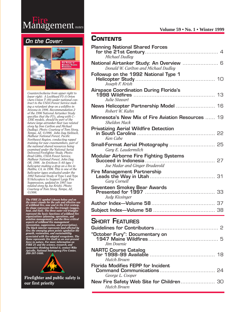### **Volume 59 • No. 1 • Winter 1999**



### On the Cover:



*Counterclockwise from upper right to lower right: A Lockheed P3–A Orion (Aero Union T–00) under national contract to the USDA Forest Service making a retardant drop on a wildfire in Arizona in 1996. Recommendation 2 of the 1996* National Airtanker Study *specifies that the P3's, along with C– 130E models, should be part of the future large airtanker fleet (see related story by Don Carlton and Michael Dudley). Photo: Courtesy of Tom Story, Tempe, AZ, ©1998. John Day Helitack, Malheur National Forest, Pacific Northwest Region, conducting rappel training for new crewmembers, part of the national shared resources being examined under the* National Aerial Delivered Firefighter Study*. Photo: Brad Gibbs, USDA Forest Service, Malheur National Forest, John Day, OR, 1998. An Erickson S–64 type 1 helicopter making a drop on a fire in Malibu, CA, in 1996. This is one of the helicopter types evaluated under the 1992* National Study of Type I and Type II Helicopters to Support Large Fire Suppression*, updated in 1997 (see related story by Joe Krish). Photo: Courtesy of Tom Story, Tempe, AZ, ©1998.* 

The FIRE 21 symbol (shown below and on<br>the cover) stands for the safe and effective use<br>of wildland fire, now and in the 21st century.<br>Its shape represents the fire triangle (oxygen,<br>heat, and fuel). The three outer red tr *FIRE 21 and the science, research, and innovative thinking behind it, contact Mike Apicello, National Interagency Fire Center, 208-387-5460.* 



Firefighter and public safety is our first priority

### **CONTENTS**

| <b>Planning National Shared Forces</b><br>Michael Dudley                                                |
|---------------------------------------------------------------------------------------------------------|
| National Airtanker Study: An Overview  6<br>Donald W. Carlton and Michael Dudley                        |
| Followup on the 1992 National Type 1<br>Joseph F. Krish                                                 |
| Airspace Coordination During Florida's<br>Julie Stewart                                                 |
| News Helicopter Partnership Model  16<br>Robert W. Kuhn                                                 |
| Minnesota's New Mix of Fire Aviation Resources  19<br><b>Sheldon Mack</b>                               |
| Ken Cabe                                                                                                |
| Small-Format Aerial Photography  25<br>Gary E. Laudermilch                                              |
| <b>Modular Airborne Fire Fighting Systems</b><br>Succeed in Indonesia<br>Joe Madar and Ginger Brudevold |
| <b>Fire Management Partnership</b><br>Gary Cornell                                                      |
| Seventeen Smokey Bear Awards<br>Judy Kissinger                                                          |
|                                                                                                         |
| <b>S</b> hort Features                                                                                  |

| Jim Downie                                                    |  |
|---------------------------------------------------------------|--|
| <b>NARTC Course Catalog</b><br><b>Hutch Brown</b>             |  |
| <b>Florida Modifies FEPP for Incident</b><br>George L. Cooper |  |
| <b>Hutch Brown</b>                                            |  |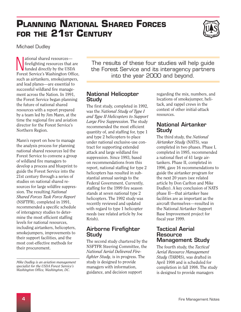# <span id="page-3-0"></span>**PLANNING NATIONAL SHARED FORCES FOR THE 21ST CENTURY**



Michael Dudley

 $\prod_{\text{fu}}$ ational shared resources firefighting resources that are funded directly by the USDA Forest Service's Washington Office, such as airtankers, smokejumpers, and lead planes—are essential to successful wildland fire management across the Nation. In 1991, the Forest Service began planning the future of national shared resources with a report prepared by a team led by Jim Mann, at the time the regional fire and aviation director for the Forest Service's Northern Region.

Mann's report on how to manage the analysis process for planning national shared resources led the Forest Service to convene a group of wildland fire managers to develop a process and blueprint to guide the Forest Service into the 21st century through a series of studies on national shared resources for large wildfire suppression. The resulting *National Shared Forces Task Force Report*  (NSFTFR), completed in 1991, recommended a specific schedule of interagency studies to determine the most efficient staffing levels for national resources, including airtankers, helicopters, smokejumpers, improvements to their support facilities, and the most cost-effective methods for their procurement.

*Mike Dudley is an aviation management specialist for the USDA Forest Service's Washington Office, Washington, DC.* 

The results of these four studies will help guide the Forest Service and its interagency partners into the year 2000 and beyond.

### National Helicopter Study

The first study, completed in 1992, was the *National Study of Type I and Type II Helicopters to Support Large Fire Suppression*. The study recommended the most efficient quantity of, and staffing for, type 1 and type 2 helicopters to place under national exclusive-use contract for supporting extended attack and large wildland fire suppression. Since 1993, based on recommendations from this report, national staffing for type 2 helicopters has resulted in substantial annual savings to the Federal Government. Currently, staffing for the 1999 fire season stands at seven national type 2 helicopters. The 1992 study was recently reviewed and updated with regard to type 1 helicopter needs (see related article by Joe Krish).

### Airborne Firefighter Study

The second study chartered by the NSFTFR Steering Committee, the *National Aerial Delivered Firefighter Study*, is in progress. The study is designed to provide managers with information, guidance, and decision support

regarding the mix, numbers, and locations of smokejumper, helitack, and rappel crews in the context of other initial-attack resources.

### National Airtanker **Study**

The third study, the *National Airtanker Study* (NATS), was completed in two phases. Phase I, completed in 1995, recommended a national fleet of 41 large airtankers. Phase II, completed in 1996, gave 16 recommendations to guide the airtanker program for the next 20 years (see related article by Don Carlton and Mike Dudley). A key conclusion of NATS phase II—that airtanker base facilities are as important as the aircraft themselves—resulted in the National Airtanker Support Base Improvement project for fiscal year 1999.

### Tactical Aerial **Resource** Management Study

The fourth study, the *Tactical Aerial Resource Management Study* (TARMS), was drafted in April 1998 and is scheduled for completion in fall 1998. The study is designed to provide managers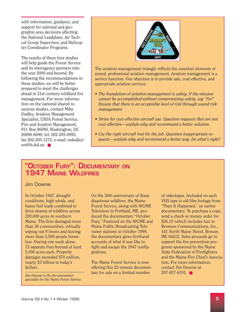<span id="page-4-0"></span>with information, guidance, and support for national and geographic-area decisions affecting the National Leadplane, Air Tactical Group Supervisor, and Helicopter Coordinator Programs.

The results of these four studies will help guide the Forest Service and its interagency partners into the year 2000 and beyond. By following the recommendations in these studies, we will be better prepared to meet the challenges ahead in 21st-century wildland fire management. For more information on the national shared resources studies, contact Mike Dudley, Aviation Management Specialist, USDA Forest Service, Fire and Aviation Management, P.O. Box 96090, Washington, DC 20090-6090, tel. 202-205-0995, fax 202-205-1272, e-mail: mdudley/  $w_0@$ fs.fed.us.



The aviation management triangle reflects the essential elements of sound, professional aviation management. Aviation management is a service function. Our objective is to provide safe, cost-effective, and appropriate aviation services.

- *The foundation of aviation management is safety. If the mission cannot be accomplished without compromising safety, say "No!" Ensure that there is an acceptable level of risk through sound risk management.*
- Strive for cost-effective aircraft use. Question requests that are not *cost-effective—explain why and recommend a better solution.*
- *Use the right aircraft tool for the job. Question inappropriate requests—explain why and recommend a better way. Do what's right!*

### "OCTOBER FURY": DOCUMENTARY ON 1947 MAINE WILDFIRES

Jim Downie

In October 1947, drought conditions, high winds, and heavy fuel loads combined to drive dozens of wildfires across 220,000 acres in southern Maine. The fires damaged more than 36 communities, virtually wiping out 9 towns and leaving more than 2,500 people homeless. During one week alone, 15 separate fires burned at least 5,000 acres each. Property damages exceeded \$70 million, nearly \$3 billion in today's dollars.

*Jim Downie is the fire prevention specialist for the Maine Forest Service.*  On the 50th anniversary of these disastrous wildfires, the Maine Forest Service, along with WGME Television in Portland, ME, produced the documentary "October Fury." Featured on the WGME and Maine Public Broadcasting Television stations in October 1998, the documentary gives firsthand accounts of what it was like to fight and escape the 1947 conflagrations.

The Maine Forest Service is now offering this 23-minute documentary for sale on a limited number

of videotapes. Included on each VHS tape is old film footage from "Then It Happened," an earlier documentary. To purchase a copy, send a check or money order for \$26.15 (which includes tax) to Bronson Communications, Inc., 141 North Maine Street, Brewer, ME 04412. Sales proceeds go to support the fire prevention programs sponsored by the Maine State Federation of Firefighters and the Maine Fire Chief's Association. For more information, contact Jim Downie at 207-827-6191. ■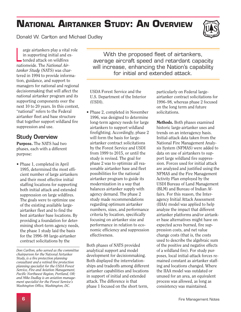# <span id="page-5-0"></span>**NATIONAL AIRTANKER STUDY: AN OVERVIEW**

Donald W. Carlton and Michael Dudley



in supporting initial and ex-<br>tended attack on wildfires<br>nationwide. The *National Air*arge airtankers play a vital role tion, guidance, and support to managers for national and regional decisionmaking that will affect the national airtanker program and its supporting components over the next 10 to 20 years. In this context, "national" refers to the Federal airtanker fleet and base structure that together support wildland fire suppression and use.

### Study Overview

Purpose. The NATS had two phases, each with a different purpose:

• Phase 1, completed in April 1995, determined the most efficient number of large airtankers and their most effective initial staffing locations for supporting both initial attack and extended suppression on large wildfires. The goals were to optimize use of the existing available largeairtanker fleet and to find the best airtanker base locations. By providing a foundation for determining short-term agency needs, the phase 1 study laid the basis for the 1996–98 large-airtanker contract solicitations by the

With the proposed fleet of airtankers, Lended attack on wildfires<br>
nationwide. The National Air-<br>
tanker Study (NATS) was char-<br>
tered in 1994 to provide informa-<br>
tered in 1994 to provide informa-<br>
tered in 1994 to provide informa-<br>
tered in 1994 to provide in

> USDA Forest Service and the U.S. Department of the Interior (USDI).

• Phase 2, completed in November 1996, was designed to determine long-term agency needs for large airtankers to support wildland firefighting. Accordingly, phase 2 will form the basis for largeairtanker contract solicitations by the Forest Service and USDI from 1999 to 2015, or until the study is revised. The goal for phase 2 was to optimize all reasonable airtanker base and fleet possibilities for the national airtanker program to guide its modernization in a way that balances airtanker supply with agency demand. The phase 2 study made recommendations regarding optimum airtanker numbers, sizes, and performance criteria by location, specifically focusing on airtanker size and performance in relation to economic efficiency and suppression effectiveness.

Both phases of NATS provided analytical support and model development for decisionmaking. Both displayed the interrelationships and tradeoffs among different airtanker capabilities and locations in support of initial and extended attack. The difference is that phase 1 focused on the short term,

particularly on Federal largeairtanker contract solicitations for 1996–98, whereas phase 2 focused on the long term and future solicitations.

Methods. Both phases examined historic large-airtanker uses and trends on an interagency basis. Initial-attack data taken from the National Fire Management Analysis System (NFMAS) were added to data on use of airtankers to support large wildland fire suppression. Forces used for initial attack are analyzed and justified using the NFMAS and the Fire Management Activity Plan employed by the USDI Bureau of Land Management (BLM) and Bureau of Indian Affairs. For this reason, the Interagency Initial Attack Assessment (IIAA) model was applied to help analyze the impact that different airtanker platforms and/or airtanker base alternatives might have on expected acres burned, fire suppression costs, and net value change costs (that is, the costs used to describe the algebraic sum of the positive and negative effects of a wildland fire). For study purposes, local initial-attack forces remained constant as airtanker staffing and locations changed. Where the IIAA model was outdated or unused for an area, an equivalent process was allowed, as long as consistency was maintained.

*Don Carlton, who served as the committee chairperson for the* National Airtanker Study, *is a fire protection planning consultant and a retired fire protection planning specialist for the USDA Forest Service, Fire and Aviation Management, Pacific Northwest Region, Portland, OR; and Mike Dudley is an aviation management specialist for the Forest Service's Washington Office, Washington, DC.*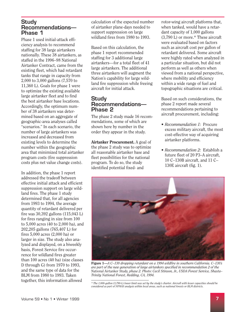### Study Recommendations— Phase 1

Phase 1 used initial-attack efficiency analysis to recommend staffing for 38 large airtankers nationally. These 38 airtankers, as staffed in the 1996–98 National Airtanker Contract, came from the existing fleet, which had retardant tanks that range in capacity from 2,000 to 3,000 gallons (7,570 to 11,360 L). Goals for phase 1 were to optimize the existing available large airtanker fleet and to find the best airtanker base locations. Accordingly, the optimum number of 38 airtankers was determined based on an aggregate of geographic-area analyses called "scenarios." In each scenario, the number of large airtankers was increased and decreased from existing levels to determine the number within the geographic area that minimized total airtanker program costs (fire suppression costs plus net value change costs).

In addition, the phase 1 report addressed the tradeoff between effective initial attack and efficient suppression support on large wildland fires. The phase 1 study determined that, for all agencies from 1993 to 1994, the average quantity of retardant delivered per fire was 30,392 gallons (115,043 L) for fires ranging in size from 100 to 5,000 acres (40 to 2,000 ha), and 202,205 gallons (765,407 L) for fires 5,000 acres (2,000 ha) or larger in size. The study also analyzed and displayed, on a biweekly basis, Forest Service fire occurrence for wildland fires greater than 100 acres (40 ha) (size classes D through G) from 1970 to 1993, and the same type of data for the BLM from 1980 to 1993. Taken together, this information allowed

calculation of the expected number of airtanker plane-days needed to support suppression on large wildland fires from 1980 to 1993.

Based on this calculation, the phase 1 report recommended staffing for 3 additional large airtankers—for a total fleet of 41 large airtankers. The additional three airtankers will augment the Nation's capability for large wildland fire suppression while freeing aircraft for initial attack.

### Study Recommendations— Phase 2

The phase 2 study made 16 recommendations, some of which are shown here by number in the order they appear in the study.

Airtanker Procurement. A goal of the phase 2 study was to optimize all reasonable airtanker base and fleet possibilities for the national program. To do so, the study identified potential fixed- and

rotor-wing aircraft platforms that, when tanked, would have a retardant capacity of 1,000 gallons (3,790 L) or more.\* These aircraft were evaluated based on factors such as aircraft cost per gallon of retardant delivered. Some aircraft were highly rated when analyzed in a particular situation, but did not perform as well as others when viewed from a national perspective, where mobility and efficiency within a wide range of fuel and topographic situations are critical.

Based on such considerations, the phase 2 report made several recommendations pertaining to aircraft procurement, including:

- *Recommendation 1:* Procure excess military aircraft, the most cost-effective way of acquiring airtanker platforms.
- *Recommendation 2:* Establish a future fleet of 20 P3–A aircraft, 10 C–130B aircraft, and 11 C– 130E aircraft (fig. 1).



Figure 1—*A C–130 dropping retardant on a 1994 wildfire in southern California. C–130's are part of the new generation of large airtankers specified in recommendation 2 of the*  National Airtanker Study, *phase 2. Photo: Cecil Stinson, Jr., USDA Forest Service, Shasta– Trinity National Forest, Redding, CA, 1994.* 

*<sup>\*</sup> The 1,000-gallon (3,790-L) lower limit was set by the study's charter. Aircraft with lesser capacities should be considered as part of NFMAS analysis within local areas, such as national forests or BLM districts.*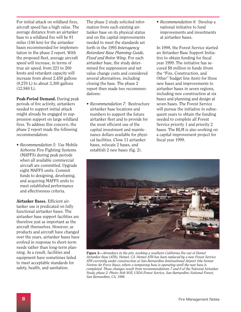For initial attack on wildland fires, aircraft speed has a high value. The average distance from an airtanker base to a wildland fire will be 91 miles (146 km) for the airtanker bases recommended for implementation in the phase 2 report. With the proposed fleet, average aircraft speed will increase, in terms of true air speed, from 221 to 260 knots and retardant capacity will increase from about 2,450 gallons (9,270 L) to about 3,300 gallons (12,940 L).

Peak-Period Demand. During peak periods of fire activity, airtankers needed to support initial attack might already be engaged in suppression support on large wildland fires. To address this concern, the phase 2 report made the following recommendation:

• *Recommendation 5:* Use Mobile Airborne Fire Fighting Systems (MAFFS) during peak periods when all available commercial aircraft are committed. Upgrade eight MAFFS units. Commit funds to designing, developing, and acquiring MAFFS units to meet established performance and effectiveness criteria.

Airtanker Bases. Efficient airtanker use is predicated on fully functional airtanker bases. The airtanker base support facilities are therefore just as important as the aircraft themselves. However, as products and aircraft have changed over the years, airtanker bases have evolved in response to short-term needs rather than long-term planning. As a result, facilities and equipment have sometimes failed to meet acceptable standards for safety, health, and sanitation.

The phase 2 study solicited information from each existing airtanker base on its physical status and on the capital improvements needed to meet the standards set forth in the 1995 *Interagency Retardant Base Planning Guide, Fixed and Rotor Wing*. For each airtanker base, the study determined fire suppression and net value change costs and considered several alternatives, including closing the base. The phase 2 report then made two recommendations:

• *Recommendation 7:* Restructure airtanker base locations and numbers to support the future airtanker fleet and to provide for the most efficient use of the capital investment and maintenance dollars available for physical facilities. Close 11 airtanker bases, relocate 2 bases, and establish 2 new bases (fig. 2).

• *Recommendation 8:* Develop a national initiative to fund improvements and investments at airtanker bases.

In 1998, the Forest Service started an Airtanker Base Support Initiative to obtain funding for fiscal year 1999. The initiative has secured \$8 million in funds (from the "Fire, Construction, and Other" budget line item) for three new bases and improvements to airtanker bases in seven regions, including new construction at six bases and planning and design at seven bases. The Forest Service will pursue the initiative in subsequent years to obtain the funding needed to complete all Forest Service priority 1 and priority 2 bases. The BLM is also working on a capital improvement project for fiscal year 1999.



Figure 2—*Airtankers in the pits, working a southern California fire out of Hemet Airtanker Base (ATB), Hemet, CA. Hemet ATB has been replaced by a new Forest Service ATB currently under construction at San Bernardino International Airport (the former Norton Air Force Base), where a temporary base is operating until the new base is completed. These changes result from recommendations 7 and 8 of the* National Airtanker Study, *phase 2. Photo: Bob Will, USDA Forest Service, San Bernardino National Forest, San Bernardino, CA, 1996.*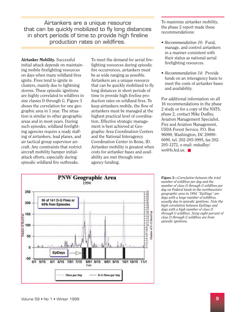Airtankers are a unique resource<br>
a he guiddly resoluting the fly leng distances the phase 2 report made these that can be quickly mobilized to fly long distances the phase 2 report in short periods of time to provide high fireline production rates on wildfires. • *Recommendation 10:* Fund,

Airtanker Mobility. Successful initial attack depends on maintaining mobile firefighting resources on days when many wildland fires ignite. Fires tend to ignite in clusters, mainly due to lightning storms. These episodic ignitions are highly correlated to wildfires in size classes D through G. Figure 3 shows the correlation for one geographic area in 1 year. The situation is similar in other geographic areas and in most years. During such episodes, wildland firefighting agencies require a ready staffing of airtankers, lead planes, and air tactical group supervisor aircraft. Any constraints that restrict aircraft mobility hamper initialattack efforts, especially during episodic wildland fire outbreaks.

To meet the demand for aerial firefighting resources during episodic fire occurrences, airtankers must be as wide ranging as possible. Airtankers are a unique resource that can be quickly mobilized to fly long distances in short periods of time to provide high fireline production rates on wildland fires. To keep airtankers mobile, the flow of airtankers must be managed at the highest practical level of coordination. Effective strategic management is best achieved at Geographic Area Coordination Centers and the National Interagency Coordination Center in Boise, ID. Airtanker mobility is greatest when costs for airtanker bases and availability are met through interagency funding.

- manage, and control airtankers in a manner consistent with their status as national aerial firefighting resources.
- *Recommendation 14:* Provide funds on an interagency basis to meet the costs of airtanker bases and availability.

For additional information on all 16 recommendations in the phase 2 study or for a copy of the NATS, phase 2, contact Mike Dudley, Aviation Management Specialist, Fire and Aviation Management, USDA Forest Service, P.O. Box 96090, Washington, DC 20090 6090, tel. 202-205-0995, fax 202 205-1272, e-mail: mdudley/ wo@fs.fed.us. ■



Figure 3—*Correlation between the total number of wildfires per day and the number of class D through G wildfires per day on Federal lands in the northwestern geographic area in 1994. "EpiDays" are days with a large number of wildfires, usually due to episodic ignitions. Note the high correlation between EpiDays and days with a high number of class D through G wildfires. Sixty-eight percent of class D through G wildfires are from episodic ignitions.*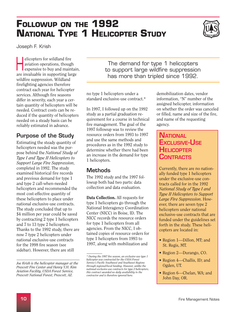# <span id="page-9-0"></span>**FOLLOWUP ON THE 1992 NATIONAL TYPE 1 HELICOPTER STUDY**



Joseph F. Krish

elicopters for wildland fire<br>
aviation operations, though<br>
expensive to buy and maintain, aviation operations, though are invaluable in supporting large wildfire suppression. Wildland firefighting agencies therefore contract each year for helicopter services. Although fire seasons differ in severity, each year a certain quantity of helicopters will be needed. Contract costs can be reduced if the quantity of helicopters needed on a steady basis can be reliably estimated in advance.

### Purpose of the Study

Estimating the steady quantity of helicopters needed was the purpose behind the *National Study of Type I and Type II Helicopters to Support Large Fire Suppression*, completed in 1992. The study examined historical fire records and previous demand for type 1 and type 2 call-when-needed helicopters and recommended the most cost-effective quantity of these helicopters to place under national exclusive-use contracts. The study concluded that up to \$4 million per year could be saved by contracting 2 type 1 helicopters and 7 to 13 type 2 helicopters. Thanks to the 1992 study, there are now 7 type 2 helicopters under national exclusive-use contracts for the 1998 fire season (see sidebar). However, there are still

The demand for type 1 helicopters to support large wildfire suppression has more than tripled since 1992.

no type 1 helicopters under a standard exclusive-use contract.\*

In 1997, I followed up on the 1992 study as a partial graduation requirement for a course in technical fire management. The goal of the 1997 followup was to review the resource orders from 1993 to 1997 and use the same methods and procedures as in the 1992 study to determine whether there had been an increase in the demand for type 1 helicopters.

### Methods

The 1992 study and the 1997 followup both had two parts: data collection and data evaluation.

Data Collection. All requests for type 1 helicopters go through the National Interagency Coordination Center (NICC) in Boise, ID. The NICC records the resource orders for type 1 helicopters from all agencies. From the NICC, I obtained copies of resource orders for type 1 helicopters from 1993 to 1997, along with mobilization and

demobilization dates, vendor information, "N" number of the assigned helicopter, information on whether the order was canceled or filled, name and size of the fire, and name of the requesting agency.

### **NATIONAL** EXCLUSIVE-USE **HELICOPTER CONTRACTS**

Currently, there are no nationally funded type 1 helicopters under the exclusive-use contracts called for in the 1992 *National Study of Type I and Type II Helicopters to Support Large Fire Suppression*. However, there are seven type 2 helicopters under national exclusive-use contracts that are funded under the guidelines set forth in the study. These helicopters are located in:

- Region 1—Dillon, MT; and St. Regis, MT.
- Region 2—Durango, CO.
- Region 4—Challis, ID; and Ogden, UT.
- Region 6—Chelan, WA; and John Day, OR.

*Joe Krish is the helicopter manager at the Prescott Fire Center and Henry Y.H. Kim Aviation Facility, USDA Forest Service, Prescott National Forest, Prescott, AZ.* 

*<sup>\*</sup> During the 1997 fire season, an exclusive-use type 1 helicopter was contracted for the USDA Forest Service's Pacific Southwest and Southwest Regions through regional/local funding. However, unlike the national exclusive-use contracts for type 2 helicopters, this contract awarded no daily availability to the contractor and is therefore ignored here.*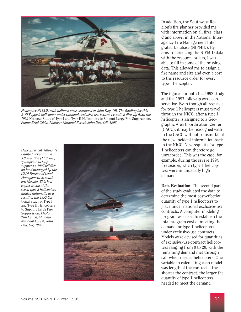

*Helicopter N1168U with helitack crew, stationed at John Day, OR. The funding for this S–58T type 2 helicopter under national exclusive-use contract resulted directly from the 1992* National Study of Type I and Type II Helicopters to Support Large Fire Suppression. *Photo: Brad Gibbs, Malheur National Forest, John Day, OR, 1998.* 

*Helicopter 68U filling its Bambi bucket from a 3,000 gallon (11,350-L) "pumpkin" to help suppress a 1997 wildfire on land managed by the USDI Bureau of Land Management in southern Nevada. This helicopter is one of the seven type 2 helicopters funded nationally as a result of the 1992* National Study of Type I and Type II Helicopters to Support Large Fire Suppression. *Photo: Tim Lynch, Malheur National Forest, John Day, OR, 1998.* 



In addition, the Southwest Region's fire planner provided me with information on all fires, class C and above, in the National Interagency Fire Management Integrated Database (NIFMID). By cross-referencing the NIFMID data with the resource orders, I was able to fill in some of the missing data. This allowed me to assign a fire name and size and even a cost to the resource order for every type 1 helicopter.

The figures for both the 1992 study and the 1997 followup were conservative. Even though all requests for type 1 helicopters must travel through the NICC, after a type 1 helicopter is assigned to a Geographic Area Coordination Center (GACC), it may be reassigned within the GACC without transmittal of the new incident information back to the NICC. New requests for type 1 helicopters can therefore go unrecorded. This was the case, for example, during the severe 1994 fire season, when type 1 helicopters were in unusually high demand.

Data Evaluation. The second part of the study evaluated the data to determine the most cost-effective quantity of type 1 helicopters to place under national exclusive-use contracts. A computer modeling program was used to establish the total program cost of meeting the demand for type 1 helicopters under exclusive-use contracts. Models were devised for quantities of exclusive-use-contract helicopters ranging from 0 to 20, with the remaining demand met through call-when-needed helicopters. One variable in calculating each model was length of the contract—the shorter the contract, the larger the quantity of type 1 helicopters needed to meet the demand.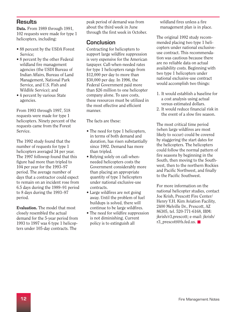### **Results**

Data. From 1989 through 1991. 102 requests were made for type 1 helicopters, including:

- 88 percent by the USDA Forest Service;
- 8 percent by the other Federal wildland fire management agencies (the USDI Bureau of Indian Affairs, Bureau of Land Management, National Park Service, and U.S. Fish and Wildlife Service); and
- 4 percent by various State agencies.

From 1993 through 1997, 518 requests were made for type 1 helicopters. Ninety percent of the requests came from the Forest Service.

The 1992 study found that the number of requests for type 1 helicopters averaged 34 per year. The 1997 followup found that this figure had more than tripled to 104 per year for the 1993–97 period. The average number of days that a contractor could expect to remain on an incident rose from 6.5 days during the 1989–91 period to 8 days during the 1993–97 period.

Evaluation. The model that most closely resembled the actual demand for the 5-year period from 1993 to 1997 was 6 type 1 helicopters under 105-day contracts. The

peak period of demand was from about the third week in June through the first week in October.

### Conclusion

Contracting for helicopters to support large wildfire suppression is very expensive for the American taxpayer. Call-when-needed rates for type 1 helicopters range from \$12,000 per day to more than \$30,000 per day. In 1996, the Federal Government paid more than \$26 million to one helicopter company alone. To save costs, these resources must be utilized in the most effective and efficient manner.

The facts are these:

- The need for type 1 helicopters, in terms of both demand and duration, has risen substantially since 1992. Demand has more than tripled.
- Relying solely on call-whenneeded helicopters costs the Government considerably more than placing an appropriate quantity of type 1 helicopters under national exclusive-use contracts.
- Large wildfires are not going away. Until the problem of fuel buildups is solved, there will continue to be large wildfires.
- The need for wildfire suppression is not diminishing. Current policy is to extinguish all

wildland fires unless a fire management plan is in place.

The original 1992 study recommended placing two type 1 helicopters under national exclusiveuse contract. This recommendation was cautious because there are no reliable data on actual availability costs. Beginning with two type 1 helicopters under national exclusive-use contract would accomplish two things:

- 1. It would establish a baseline for a cost analysis using actual versus estimated dollars.
- 2. It would reduce financial risk in the event of a slow fire season.

The most critical time period (when large wildfires are most likely to occur) could be covered by staggering the start dates for the helicopters. The helicopters could follow the normal pattern of fire seasons by beginning in the South, then moving to the Southwest, then to the northern Rockies and Pacific Northwest, and finally to the Pacific Southwest.

For more information on the national helicopter studies, contact Joe Krish, Prescott Fire Center/ Henry Y.H. Kim Aviation Facility, 2400 Melville Dr., Prescott, AZ 86305, tel. 520-771-6168, IBM: jkrish/r3,prescott; e-mail: jkrish/ r3\_prescott@fs.fed.us. ■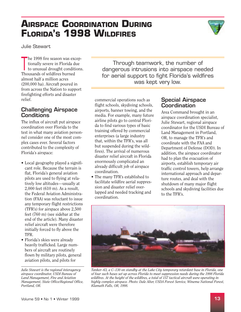# I to unusual drought conditions.<br>
Thousands of wildfires burned<br>
almost half a million acres<br>
(200,000 ha). Aircraft poured in<br>
the state of the state of the state of the state of the state of the state of the state of the

Challenging Airspace **Conditions** 

The influx of aircraft put airspace coordination over Florida to the test in what many aviation personnel consider one of the most complex cases ever. Several factors contributed to the complexity of Florida's airspace:

- Local geography played a significant role. Because the terrain is flat, Florida's general aviation pilots are used to flying at relatively low altitudes—usually at 2,000 feet (610 m). As a result, the Federal Aviation Administration (FAA) was reluctant to issue any temporary flight restrictions (TFR's) for airspace above 2,500 feet (760 m) (see sidebar at the end of the article). Many disaster relief aircraft were therefore initially forced to fly above the TFR.
- Florida's skies were already heavily trafficked. Large numbers of aircraft are routinely flown by military pilots, general aviation pilots, and pilots for

*Julie Stewart is the regional interagency airspace coordinator, USDI Bureau of Land Management, Fire and Aviation Management, State Office/Regional Office, Portland, OR.* 

commercial operations such as flight schools, skydiving schools, airports, banner towing, and the media. For example, many future airline pilots go to central Florida to find various types of basic training offered by commercial enterprises (a large industry that, within the TFR's, was all but suspended during the wildfires). The arrival of numerous disaster relief aircraft in Florida enormously complicated an already difficult job of airspace coordination.

• The many TFR's established to facilitate wildfire aerial suppression and disaster relief overlapped and needed tracking and coordination.

### Special Airspace **Coordination**

Through teamwork, the number of

Area Command brought in an airspace coordination specialist, Julie Stewart, regional airspace coordinator for the USDI Bureau of Land Management in Portland, OR, to manage the TFR's and coordinate with the FAA and Department of Defense (DOD). In addition, the airspace coordinator had to plan the evacuation of airports, establish temporary air traffic control towers, help arrange international approach and departure routes, and deal with the shutdown of many major flight schools and skydiving facilities due to the TFR's.



# <span id="page-12-0"></span>**AIRSPACE COORDINATION DURING FLORIDA'S 1998 WILDFIRES**

Julie Stewart

The 1998 fire season was excep-<br>tionally severe in Florida due<br>to unusual drought conditions.<br>Thousands of wildfires burned from across the Nation to support firefighting efforts and disaster relief.



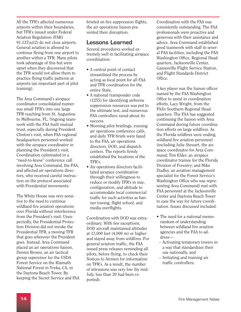All the TFR's affected numerous airports within their boundaries, but TFR's issued under Federal Aviation Regulation (FAR) 91.137(a)(2) do not close airports. General aviation is allowed to continue flying from one airport to another within a TFR. Many pilots took advantage of this but were upset when they discovered that the TFR would not allow them to practice flying traffic patterns at airports (an important part of pilot training).

The Area Command's airspace coordinator consolidated numerous small TFR's into one large TFR reaching from St. Augustine to Melbourne, FL. Ongoing teamwork with the FAA built mutual trust, especially during President Clinton's visit, when FAA regional headquarters personnel worked with the airspace coordinator in planning the President's visit. Coordination culminated in a "need-to-know" conference call involving Area Command, the FAA, and affected air operations directors, who received careful instruction on the protocol associated with Presidential movements.

The White House was very sensitive to the need to continue wildland fire aviation operations over Florida without interference from the President's visit. Unexpectedly, the Presidential Protection Division did not invoke the Presidential TFR, a moving TFR that goes wherever the President goes. Instead, Area Command placed an air operations liaison, Dennis Brown, an air tactical group supervisor for the USDA Forest Service on the Klamath National Forest in Yreka, CA, in the Daytona Beach Tower. By keeping the Secret Service and FAA

briefed on fire suppression flights, the air operations liaison prevented their disruption.

### Lessons Learned

Several procedures worked extremely well in facilitating airspace coordination:

- A central point of contact streamlined the process by acting as focal point for all FAA and TFR coordination for the entire State.
- A national transponder code (1255) for identifying airborne suppression resources was put to the ultimate test, and numerous FAA controllers raved about its success.
- Morning pilot briefings, evening air operations conference calls, and daily TFR briefs were faxed to the FAA, air operations directors, DOD, and dispatch centers. The reports firmly established the locations of the TFR's.
- Air operations directors facilitated airspace coordination through their willingness to reduce or modify TFR's in size, configuration, and altitude to accommodate local commercial traffic for such activities as banner towing, flight school, and media overflights.

Coordination with DOD was extraordinary. With few exceptions, DOD aircraft maintained altitudes at 13,000 feet (4,000 m) or higher and stayed away from wildfires. For general aviation traffic, the FAA issued press releases reminding all pilots, before flying, to check their Notices to Airmen for information on TFR's. As a result, the number of intrusions was very low (by mid-July, less than 20 had been reported).

Coordination with the FAA was consistently outstanding. The FAA professionals were proactive and generous with their assistance and advice. Area Command established good teamwork with staff in several FAA facilities, including the FAA Washington Office, Regional Headquarters, Jacksonville Center, Gainesville Flight Service Station, and Flight Standards District Office.

A key player was the liaison officer named by the FAA Washington Office to assist in coordination efforts, Lacy Wright, from the FAA's Southern Regional Headquarters. The FAA has suggested continuing the liaison with Area Command during future coordination efforts on large wildfires. As the Florida wildfires were ending, wildland fire aviation personnel (including Julie Stewart, the airspace coordinator for Area Command; Tim Elder, an airspace coordinator trainee for the Florida Division of Forestry; and Mike Dudley, an aviation management specialist for the Forest Service's Washington Office who was representing Area Command) met with FAA personnel at the Jacksonville Center and Daytona Beach Tower to ease the way for future coordination. Issues discussed included:

- The need for a national memorandum of understanding between wildland fire aviation agencies and the FAA to address—
- Activating temporary towers in a way that standardizes their use nationally, and
- Initiating and training air traffic controllers.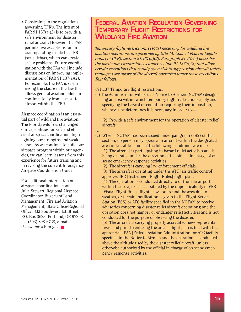• Constraints in the regulations governing TFR's. The intent of FAR  $91.137(a)(2)$  is to provide a safe environment for disaster relief aircraft. However, the FAR permits five exceptions for aircraft operating inside the TFR (see sidebar), which can create safety problems. Future coordination with the FAA will include discussions on improving implementation of FAR 91.137(a)(2). For example, the FAA is scrutinizing the clause in the law that allows general aviation pilots to continue to fly from airport to airport within the TFR.

Airspace coordination is an essential part of wildland fire aviation. The Florida wildfires challenged our capabilities for safe and efficient airspace coordination, highlighting our strengths and weaknesses. As we continue to build our airspace program within our agencies, we can learn lessons from this experience for future training and in revising the current Interagency Airspace Coordination Guide.

For additional information on airspace coordination, contact Julie Stewart, Regional Airspace Coordinator, Bureau of Land Management, Fire and Aviation Management, State Office/Regional Office, 333 Southwest 1st Street, P.O. Box 3623, Portland, OR 97208, tel. (503) 808-6728, e-mail: j5stewar@or.blm.gov ■

### FEDERAL AVIATION REGULATION GOVERNING TEMPORARY FLIGHT RESTRICTIONS FOR WILDLAND FIRE AVIATION

*Temporary flight restrictions (TFR's) necessary for wildland fire aviation operations are governed by title 14, Code of Federal Regulations (14 CFR), section 91.137(a)(2). Paragraph 91.137(c) describes the particular circumstances under section 91.137(a)(2) that allow certain exceptions that could pose a risk to suppression aircraft unless managers are aware of the aircraft operating under these exceptions. Text follows.* 

### §91.137 Temporary flight restrictions.

- (a) The Administrator will issue a Notice to Airmen (NOTAM) designating an area within which temporary flight restrictions apply and specifying the hazard or condition requiring their imposition, whenever he determines it is necessary in order to—
- (2) Provide a safe environment for the operation of disaster relief aircraft;
- …

…

- (c) When a NOTAM has been issued under paragraph  $(a)(2)$  of this section, no person may operate an aircraft within the designated area unless at least one of the following conditions are met: (1) The aircraft is participating in hazard relief activities and is being operated under the direction of the official in charge of on scene emergency response activities.
	- (2) The aircraft is carrying law enforcement officials.
	- (3) The aircraft is operating under the ATC [air traffic control] approved IFR [Instrument Flight Rules] flight plan.
	- (4) The operation is conducted directly to or from an airport within the area, or is necessitated by the impracticability of VFR [Visual Flight Rules] flight above or around the area due to weather, or terrain; notification is given to the Flight Service Station (FSS) or ATC facility specified in the NOTAM to receive advisories concerning disaster relief aircraft operations; and the operation does not hamper or endanger relief activities and is not conducted for the purpose of observing the disaster.

(5) The aircraft is carrying properly accredited news representatives, and prior to entering the area, a flight plan is filed with the appropriate FAA [Federal Aviation Administration] or ATC facility specified in the Notice to Airmen and the operation is conducted above the altitude used by the disaster relief aircraft, unless otherwise authorized by the official in charge of on scene emergency response activities.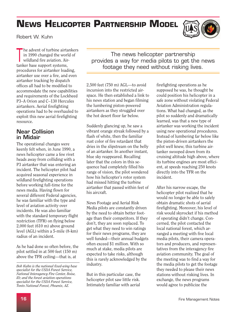# <span id="page-15-0"></span>**NEWS HELICOPTER PARTNERSHIP MODEL**



Robert W. Kuhn

The advent of turbine airtankers<br>in 1990 changed the world of<br>wildland fire aviation. Airin 1990 changed the world of wildland fire aviation. Airtanker base support systems, procedures for airtanker loading, airtanker use over a fire, and even airtanker tracking by dispatch offices all had to be modified to accommodate the new capabilities and requirements of the Lockheed P3–A Orion and C–130 Hercules airtankers. Aerial firefighting operations had to be overhauled to exploit this new aerial firefighting resource.

### Near Collision in Midair

The operational changes were keenly felt when, in June 1990, a news helicopter came a few rivet heads away from colliding with a P3 airtanker that was entering an incident. The helicopter pilot had acquired seasonal experience in wildland firefighting operations before working full-time for the news media. Having flown for several different Federal agencies, he was familiar with the type and level of aviation activity over incidents. He was also familiar with the standard temporary flight restriction (TFR) on flying below 2,000 feet (610 m) above ground level (AGL) within a 5-mile (8-km) radius of an incident.

As he had done so often before, the pilot settled in at 500 feet (150 m) above the TFR ceiling—that is, at

The news helicopter partnership provides a way for media pilots to get the news footage they need without risking lives.

2,500 feet (750 m) AGL—to avoid incursion into the restricted airspace. He then established a link to his news station and began filming the lumbering piston-powered airtankers as they struggled over the hot desert floor far below.

Suddenly glancing up, he saw a vibrant orange streak followed by a flash of white, then the familiar rust color of fire retardant that dries in the slipstream on the belly of an airtanker. In another instant, blue sky reappeared. Recalling later that the colors in this sequence had completely filled his range of vision, the pilot wondered how his helicopter's rotor system had missed hitting the turbine airtanker that passed within feet of his aircraft.

News Footage and Aerial Risk Media pilots are constantly driven by the need to obtain better footage than their competitors. If they don't, they are soon replaced. To get what they need to win ratings for their news programs, they are well funded—their annual budgets often exceed \$1 million. With so much at stake, media pilots are expected to take risks, although this is rarely acknowledged by the industry.

But in this particular case, the helicopter pilot saw little risk. Intimately familiar with aerial

firefighting operations as he supposed he was, he thought he could position his helicopter in a safe zone without violating Federal Aviation Administration regulations. What had changed, as the pilot so suddenly and dramatically learned, was that a new type of airtanker was working the incident using new operational procedures. Instead of lumbering far below like the piston-driven airtankers the pilot well knew, this turbine airtanker swooped down from its cruising altitude high above, where its turbine engines are most efficient, at speeds reaching 250 knots directly into the TFR on the incident.

After his narrow escape, the helicopter pilot realized that he would no longer be able to safely obtain dramatic shots of aerial firefighting. Moreover, his level of risk would skyrocket if his method of operating didn't change. Concerned, the pilot contacted the local national forest, which arranged a meeting with five local media pilots, their camera operators and producers, and representatives from the interagency fire aviation community. The goal of the meeting was to find a way for the media pilots to get the footage they needed to please their news stations without risking lives. In exchange, the news programs would agree to publicize the

*Bob Kuhn is the national fixed-wing base specialist for the USDA Forest Service, National Interagency Fire Center, Boise, ID; and the forest aviation operations specialist for the USDA Forest Service, Tonto National Forest, Phoenix, AZ.*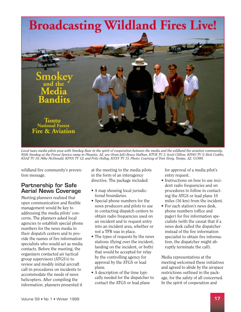

*Local news media pilots pose with Smokey Bear in the spirit of cooperation between the media and the wildland fire aviation community. With Smokey at the Forest Service ramp in Phoenix, AZ, are (from left) Bruce Haffner, KTVK TV 3; Scott Clifton, KPHO TV 5; Rick Crabbs, KSAZ TV 10; Mike McDonald, KPNX TV 12; and Fritz Holley, KNXV TV 15. Photo: Courtesy of Tom Story, Tempe, AZ, ©1998.* 

wildland fire community's prevention message.

### Partnership for Safe Aerial News Coverage

Meeting planners realized that open communication and flexible management would be key to addressing the media pilots' concerns. The planners asked local agencies to establish special phone numbers for the news media in their dispatch centers and to provide the names of fire information specialists who would act as media contacts. Before the meeting, the organizers contacted air tactical group supervisors (ATGS's) to review and modify initial aircraft call-in procedures on incidents to accommodate the needs of news helicopters. After compiling the information, planners presented it

at the meeting to the media pilots in the form of an interagency directive. The package included:

- A map showing local jurisdictional boundaries.
- Special phone numbers for the news producers and pilots to use in contacting dispatch centers to obtain radio frequencies used on an incident and to request entry into an incident area, whether or not a TFR was in place.
- The types of requests by the news stations (flying over the incident, landing on the incident, or both) that would be accepted for relay by the controlling agency for approval by the ATGS or lead plane.
- A description of the time typically needed for the dispatcher to contact the ATGS or lead plane

for approval of a media pilot's entry request.

- Instructions on how to use incident radio frequencies and on procedures to follow in contacting the ATGS or lead plane 10 miles (16 km) from the incident.
- For each station's news desk, phone numbers (office and pager) for fire information specialists (with the caveat that if a news desk called the dispatcher instead of the fire information specialist to obtain fire information, the dispatcher might abruptly terminate the call).

Media representatives at the meeting welcomed these initiatives and agreed to abide by the airspace restrictions outlined in the package, for the safety of all concerned. In the spirit of cooperation and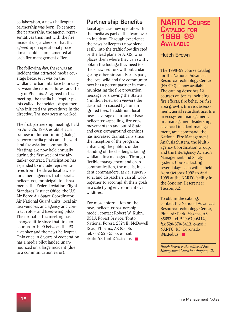<span id="page-17-0"></span>collaboration, a news helicopter partnership was born. To cement the partnership, the agency representatives then met with the fire incident dispatchers so that the agreed-upon operational procedures could be implemented at each fire management office.

The following day, there was an incident that attracted media coverage because it was on the wildland–urban interface boundary between the national forest and the city of Phoenix. As agreed in the meeting, the media helicopter pilots called the incident dispatcher, who initiated the procedures in the directive. The new system worked!

The first partnership meeting, held on June 26, 1990, established a framework for continuing dialog between media pilots and the wildland fire aviation community. Meetings are now held annually during the first week of the airtanker contract. Participation has expanded to include representatives from the three local law enforcement agencies that operate helicopters, municipal fire departments, the Federal Aviation Flight Standards District Office, the U.S. Air Force Air Space Coordinator, Air National Guard units, local air taxi vendors, and agency and contract rotor- and fixed-wing pilots. The format of the meeting has changed little since that first encounter in 1990 between the P3 airtanker and the news helicopter. Only once in 8 years of cooperation has a media pilot landed unannounced on a large incident (due to a communication error).

### Partnership Benefits

Local agencies now operate with the media as part of the team over an incident. Through experience, the news helicopters now blend easily into the traffic flow directed by the lead plane or ATGS, who places them where they can swiftly obtain the footage they need for their news editors without endangering other aircraft. For its part, the local wildland fire community now has a potent partner in communicating the fire prevention message by showing the State's 4 million television viewers the destruction caused by humanignited fires. In addition, local news coverage of airtanker bases, helicopter rappelling, fire crew movements in and out of State, and even campground openings has increased dramatically since the inception of the program, enhancing the public's understanding of the challenges facing wildland fire managers. Through flexible management and open communication, the media, incident commanders, aerial supervisors, and dispatchers can all work together to accomplish their goals in a safe flying environment over wildfires.

For more information on the news helicopter partnership model, contact Robert W. Kuhn, USDA Forest Service, Tonto National Forest, 2324 E. McDowell Road, Phoenix, AZ 85006, tel. 602-225-5356, e-mail: rkuhn/r3-tonto@fs.fed.us. ■

### **NARTC COURSE** CATALOG FOR 1998–99 **AVAILABLE**

Hutch Brown

The 1998–99 course catalog for the National Advanced Resource Technology Center (NARTC) is now available. The catalog describes 12 courses on topics including fire effects, fire behavior, fire area growth, fire risk assessment, aerial retardant use, fire in ecosystem management, fire management leadership, advanced incident management, area command, the National Fire Management Analysis System, the Multiagency Coordination Group, and the Interagency Aviation Management and Safety system. Courses lasting several days each will be held from October 1998 to April 1999 at the NARTC facility in the Sonoran Desert near Tucson, AZ.

To obtain the catalog, contact the National Advanced Resource Technology Center, Pinal Air Park, Marana, AZ 85653, tel. 520-670-6414, fax 520-670-6413, e-mail: NARTC\_R3\_Coronado @fs.fed.us. ■

*Hutch Brown is the editor of Fire Management Notes in Arlington, VA.*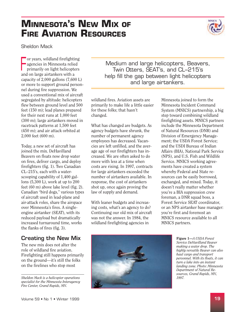### Volume 59 • No 1 • Winter 1999 19

# <span id="page-18-0"></span>**MINNESOTA'S NEW MIX OF FIRE AVIATION RESOURCES**

Sheldon Mack

For years, wildland firefighting<br>agencies in Minnesota relied<br>primarily on light helicopters<br>and on large airtankers with a nel during fire suppression. We used a conventional mix of aircraft segregated by altitude: helicopters flew between ground level and 500 feet (150 m); lead planes prepared for their next runs at 1,000 feet (300 m); large airtankers moved in racetrack patterns at 1,500 feet (450 m); and air attack orbited at 2,000 feet (600 m).

Today, a new set of aircraft has joined the mix. DeHavilland Beavers on floats now drop water on fires, deliver cargo, and deploy firefighters (fig. 1). Two Canadian CL–215's, each with a waterscooping capability of 1,400 gallons (5,300 L), work at up to 200 feet (60 m) above lake level (fig. 2). Canadian "bird dogs," various types of aircraft used in lead-plane and air-attack roles, share the airspace over Minnesota's fires. A singleengine airtanker (SEAT), with its reduced payload but dramatically increased turnaround time, works the flanks of fires (fig. 3).

### Creating the New Mix

The new mix does not alter the role of wildland fire aviation. Firefighting still happens primarily on the ground—it's still the folks on the firelines who stop most

*Sheldon Mack is a helicopter operations specialist for the Minnesota Interagency Fire Center, Grand Rapids, MN.* 

Medium and large helicopters, Beavers, Twin Otters, SEAT's, and CL-215's and on large airtankers with a help fill the gap between light helicopters capacity of 2,000 gallons (7,600 L) capacity of 2,000 gallons (7,600 L) and large airtankers.

> wildland fires. Aviation assets are primarily to make life a little easier for these folks; that hasn't changed.

> What has changed are budgets. As agency budgets have shrunk, the number of permanent agency employees has decreased. Vacancies are left unfilled, and the average age of our firefighters has increased. We are often asked to do more with less at a time when costs are rising. In 1997, contracts for large airtankers exceeded the number of airtankers available. In response, the cost of airtankers shot up, once again proving the law of supply and demand.

With leaner budgets and increasing costs, what's an agency to do? Continuing our old mix of aircraft was not the answer. In 1984, the wildland firefighting agencies in

Minnesota joined to form the Minnesota Incident Command System (MNICS) partnership, a big step toward combining wildland firefighting assets. MNICS partners include the Minnesota Department of Natural Resources (DNR) and Division of Emergency Management; the USDA Forest Service; and the USDI Bureau of Indian Affairs (BIA), National Park Service (NPS), and U.S. Fish and Wildlife Service. MNICS working agreements have created a system whereby Federal and State resources can be easily borrowed, exchanged, and mixed. Today, it doesn't really matter whether you're a BIA suppression crew foreman, a DNR squad boss, a Forest Service SEAT coordinator, or an NPS airtanker base manager: you're first and foremost an MNICS resource available to all MNICS partners.





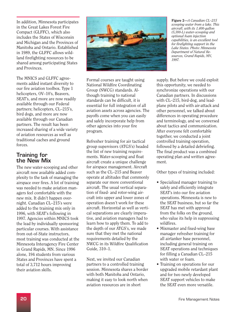In addition, Minnesota participates in the Great Lakes Forest Fire Compact (GLFFC), which also includes the States of Wisconsin and Michigan and the Provinces of Manitoba and Ontario. Established in 1989, the GLFFC allows wildland firefighting resources to be shared among participating States and Provinces.

The MNICS and GLFFC agreements added instant diversity to our fire aviation toolbox. Type 1 helicopters, OV–10's, Beavers, SEAT's, and more are now readily available through our Federal partners; helicopters, CL–215's, bird dogs, and more are now available through our Canadian partners. The result has been increased sharing of a wide variety of aviation resources as well as traditional caches and ground forces.

### Training for the New Mix

The new water-scooping and other aircraft now available added complexity to the task of managing the airspace over fires. A lot of training was needed to make aviation managers feel comfortable with the new mix. It didn't happen overnight. Canadian CL–215's were added to the training mix only in 1996, with SEAT's following in 1997. Agencies within MNICS took the lead by individually sponsoring particular courses. With assistance from out-of-State instructors, most training was conducted at the Minnesota Interagency Fire Center in Grand Rapids, MN. Since 1996 alone, 194 students from various States and Provinces have spent a total of 3,712 hours improving their aviation skills.



Formal courses are taught using National Wildfire Coordinating Group (NWCG) standards. Although training to national standards can be difficult, it is essential for full integration of all aviation assets across agencies. The payoffs come when you can easily and safely incorporate help from other agencies into your fire program.

Refresher training for air tactical group supervisors (ATGS's) headed the list of new training requirements. Water-scooping and float aircraft create a unique challenge for airspace management. Aircraft such as the CL–215 and Beaver operate at altitudes that commonly separate our more conventional aircraft. The usual vertical separation of fixed- and rotor-wing aircraft into upper and lower zones of operation doesn't work for these aircraft. Horizontal as well as vertical separations are clearly imperative, and aviation managers had to learn how to apply them. To add to the depth of our ATGS's, we made sure that they met the national requirements detailed by the NWCG in its Wildfire Qualification Guide, 310–1.

Next, we invited our Canadian partners to a controlled training session. Minnesota shares a border with both Manitoba and Ontario, making it easy to look north when aviation resources are in short

Figure 2—*A Canadian CL–215 scooping water from a lake. This aircraft, with its 1,400-gallon (5,300-L) water-scooping and optional foam injection capabilities, is an excellent tool for firefighting support in the Lake States. Photo: Minnesota Department of Natural Resources, Grand Rapids, MN, 1997.* 

supply. But before we could exploit this opportunity, we needed to synchronize operations with our Canadian partners. In discussions with CL–215, bird-dog, and leadplane pilots and with air-attack and other personnel, we talked about differences in operating procedure and terminology, and we conversed about tactics and communication. After everyone felt comfortable together, we conducted a joint controlled training operation, followed by a detailed debriefing. The final product was a combined operating plan and written agreement.

Other types of training included:

- Specialized manager training to safely and efficiently integrate SEAT's into our fire aviation operations. Minnesota is new to the SEAT business, but so far the SEAT has met with approval from the folks on the ground, who value its help in suppressing wildfires.
- Mixmaster and fixed-wing base manager refresher training for all airtanker base personnel, including general training on SEAT operations and techniques for filling a Canadian CL–215 with water or foam.
- Training on operations for our upgraded mobile retardant plant and for two newly developed SEAT support vehicles to make the SEAT even more versatile.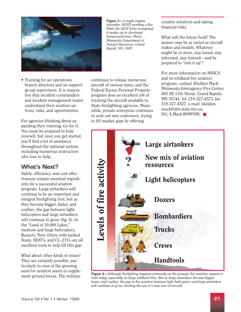

• Training for air operations branch directors and air support group supervisors. It is imperative that incident commanders and incident management teams understand their aviation options, risks, and opportunities.

For agencies thinking about expanding their training: Go for it. You must be prepared to help yourself, but once you get started, you'll find a lot of assistance throughout the national system, including numerous instructors who love to help.

### What's Next?

Safety, efficiency, and cost-effectiveness remain essential ingredients for a successful aviation program. Large airtankers will continue to be an important and integral firefighting tool, but as they become bigger, faster, and costlier, the gap between light helicopters and large airtankers will continue to grow (fig. 4). In the "Land of 10,000 Lakes," medium and large helicopters, Beavers, Twin Otters with tanked floats, SEAT's, and CL–215's are all excellent tools to help fill this gap.

What about other kinds of mixes? They are certainly possible, particularly in view of the growing need for aviation assets to supplement ground forces. The military

Figure 3—*A single-engine airtanker (SEAT) working a fire. What the SEAT lacks in payload it makes up in shortened turnaround time. Photo: Minnesota Department of Natural Resources, Grand Rapids, MN, 1997.* 

continues to release numerous aircraft of various types, and the Federal Excess Personal Property program does an excellent job of tracking the aircraft available to State firefighting agencies. Meanwhile, private enterprise continues to seek out new customers, trying to fill market gaps by offering

creative solutions and taking financial risks.

What will the future hold? The answer may be as varied as aircraft makes and models. Whatever might be in store, stay tuned, stay informed, stay trained—and be prepared to "mix it up"!

For more information on MNICS and its wildland fire aviation program, contact Sheldon Mack, Minnesota Interagency Fire Center, 402 SE 11th Street, Grand Rapids, MN 55744, tel. 218-327-4573, fax 218-327-4527, e-mail: sheldon. mack@dnr.state.mn.us, DG: S.Mack:R09F09B. ■



Figure 4—*Although firefighting happens primarily on the ground, fire aviation support is vital today, especially on large wildland fires. But as large airtankers become bigger, faster, and costlier, the gap in fire aviation between light helicopters and large airtankers will continue to grow, inviting the use of a new mix of aircraft.*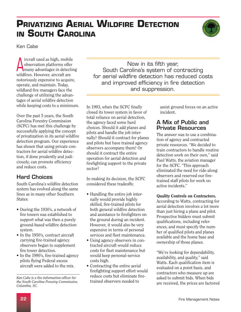# <span id="page-21-0"></span>**PRIVATIZING AERIAL WILDFIRE DETECTION IN SOUTH CAROLINA**



Ken Cabe

**A** ircraft used as high, mobile<br>
many advantages in detecting observation platforms offer wildfires. However, aircraft are notoriously expensive to acquire, operate, and maintain. Today, wildland fire managers face the challenge of utilizing the advantages of aerial wildfire detection while keeping costs to a minimum.

Over the past 5 years, the South Carolina Forestry Commission (SCFC) has met this challenge by successfully applying the concept of privatization in its aerial wildfire detection program. Our experience has shown that using private contractors for aerial wildfire detection, if done prudently and judiciously, can promote efficiency and reduce costs.

### Hard Choices

South Carolina's wildfire detection system has evolved along the same lines as in many other Southern States:

- During the 1930's, a network of fire towers was established to support what was then a purely ground-based wildfire detection system.
- In the 1950's, contract aircraft carrying fire-trained agency observers began to supplement fire tower detection.
- In the 1980's, fire-trained agency pilots flying Federal excess aircraft were added to the mix.

Now in its fifth year, South Carolina's system of contracting for aerial wildfire detection has reduced costs and improved efficiency in fire detection and suppression.

In 1993, when the SCFC finally closed its tower system in favor of total reliance on aerial detection, the agency faced some hard choices. Should it add planes and pilots and handle the job internally? Should it contract for planes and pilots but have trained agency observers accompany them? Or should it contract the entire operation for aerial detection and firefighting support to the private sector?

In making its decision, the SCFC considered these tradeoffs:

- Handling the entire job internally would provide highly skilled, fire-trained pilots for both general wildfire detection and assistance to firefighters on the ground during an incident. However, it would also be very expensive in terms of personal services and fleet maintenance.
- Using agency observers in contracted aircraft would reduce costs for fleet maintenance but would keep personal-service costs high.
- Contracting the entire aerial firefighting support effort would reduce costs but eliminate firetrained observers needed to

assist ground forces on an active incident.

### A Mix of Public and Private Resources

The answer was to use a combination of agency and contracted private resources. "We decided to train contractors to handle routine detection work on their own," said Paul Watts, the aviation manager for the SCFC. "This approach eliminated the need for ride-along observers and reserved our firetrained staff pilots for work on active incidents."

### Quality Controls on Contractors.

According to Watts, contracting for aerial detection involves a lot more than just hiring a plane and pilot. Prospective bidders must submit qualifications, including references, and must specify the number of qualified pilots and planes available and the home base and ownership of those planes.

"We're looking for dependability, availability, and quality," said Watts. Each qualification item is evaluated on a point basis, and contractors who measure up are asked to submit bids. When bids are received, the prices are factored

*Ken Cabe is a fire information officer for the South Carolina Forestry Commission, Columbia, SC.*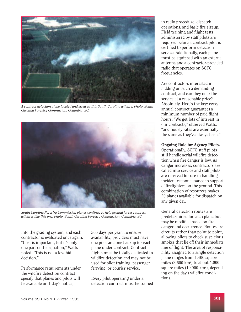

*A contract detection plane located and sized up this South Carolina wildfire. Photo: South Carolina Forestry Commission, Columbia, SC.* 



*South Carolina Forestry Commission planes continue to help ground forces suppress wildfires like this one. Photo: South Carolina Forestry Commission, Columbia, SC.* 

into the grading system, and each contractor is evaluated once again. "Cost is important, but it's only one part of the equation," Watts noted. "This is not a low-bid decision."

Performance requirements under the wildfire detection contract specify that planes and pilots will be available on 1 day's notice,

365 days per year. To ensure availability, providers must have one pilot and one backup for each plane under contract. Contract flights must be totally dedicated to wildfire detection and may not be used for pilot training, passenger ferrying, or courier service.

Every pilot operating under a detection contract must be trained in radio procedure, dispatch operations, and basic fire sizeup. Field training and flight tests administered by staff pilots are required before a contract pilot is certified to perform detection service. Additionally, each plane must be equipped with an external antenna and a contractor-provided radio that operates on SCFC frequencies.

Are contractors interested in bidding on such a demanding contract, and can they offer the service at a reasonable price? Absolutely. Here's the key: every annual contract guarantees a minimum number of paid flight hours. "We get lots of interest in our contracts," observed Watts, "and hourly rates are essentially the same as they've always been."

### Ongoing Role for Agency Pilots.

Operationally, SCFC staff pilots still handle aerial wildfire detection when fire danger is low. As danger increases, contractors are called into service and staff pilots are reserved for use in handling incident reconnaissance in support of firefighters on the ground. This combination of resources makes 20 planes available for dispatch on any given day.

General detection routes are predetermined for each plane but may be modified based on fire danger and occurrence. Routes are circuits rather than point to point, allowing pilots to check suspicious smokes that lie off their immediate line of flight. The area of responsibility assigned to a single detection plane ranges from 1,400 square miles (3,600 km2 ) to about 4,000 square miles (10,000 km2 ), depending on the day's wildfire conditions.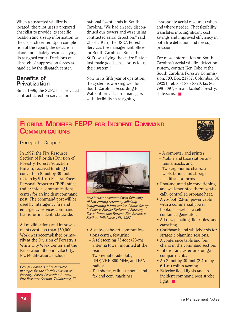<span id="page-23-0"></span>When a suspected wildfire is located, the pilot uses a prepared checklist to provide its specific location and sizeup information to the dispatch center. Upon completion of the report, the detection plane immediately resumes flying its assigned route. Decisions on dispatch of suppression forces are handled by the dispatch center.

### Benefits of **Privatization**

Since 1996, the SCFC has provided contract detection service for

national forest lands in South Carolina. "We had already discontinued our towers and were using contracted aerial detection," said Charlie Kerr, the USDA Forest Service's fire management officer for South Carolina. "Since the SCFC was flying the entire State, it just made good sense for us to use their system."

Now in its fifth year of operation, the system is working well for South Carolina. According to Watts, it provides fire managers with flexibility in assigning

appropriate aerial resources when and where needed. That flexibility translates into significant cost savings and improved efficiency in both fire detection and fire suppression.

For more information on South Carolina's aerial wildfire detection system, contact Ken Cabe at the South Carolina Forestry Commission, P.O. Box 21707, Columbia, SC 29221, tel. 803-896-8820, fax 803 798-8097, e-mail: kcabe@forestry. state.sc.us. ■

### FLORIDA MODIFIES FEPP FOR INCIDENT COMMAND **COMMUNICATIONS**



George L. Cooper

In 1997, the Fire Resource Section of Florida's Division of Forestry, Forest Protection Bureau, received funding to convert an 8-foot by 30-foot (2.4-m by 9.1-m) Federal Excess Personal Property (FEPP) office trailer into a communications center for an incident command post. The command post will be used by interagency fire and emergency services command teams for incidents statewide.

All modifications and improvements cost less than \$50,000. Work was accomplished primarily at the Division of Forestry's White City Work Center and the Fabrication Shop in Lake City, FL. Modifications include:

*George Cooper is a fire resource manager for the Florida Division of Forestry, Forest Protection Bureau, Fire Resource Section, Tallahassee, FL.* 



*New incident command post following ribbon-cutting ceremony officially inaugurating it into service. Photo: George L. Cooper, Florida Division of Forestry, Forest Protection Bureau, Fire Resource Section, Tallahassee, FL, 1997.* 

- A state-of-the-art communications center, featuring:
- A telescoping 75-foot (23-m) antenna tower, mounted at the rear;
- Two remote radio kits,
- UHF, VHF, 800-MHz, and FAA radios;
- Telephone, cellular phone, and fax and copy machines;
- A computer and printer;
- Mobile and base station antenna masts; and
- Two ergonomic chairs, a workstation, and storage facilities for forms.
- Roof-mounted air conditioning and wall-mounted thermostatically controlled propane heat.
- A 75-foot (23-m) power cable with a commercial power hookup as well as a selfcontained generator.
- All new paneling, floor tiles, and carpeting.
- Corkboards and whiteboards for strategic planning sessions.
- A conference table and four chairs in the command section.
- Interior and exterior storage compartments.
- An 8-foot by 20-foot (2.4-m by 6.1-m) rollup awning.
- Exterior flood lights and an incident command post strobe light. ■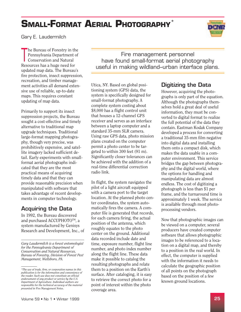# <span id="page-24-0"></span>**SMALL-FORMAT AERIAL PHOTOGRAPHY**



Gary E. Laudermilch

he Bureau of Forestry in the Pennsylvania Department of Conservation and Natural Resources has a huge need for updated map data. The Bureau's fire protection, insect suppression, recreation, and timber management activities all demand extensive use of reliable, up-to-date maps. This requires constant updating of map data.

Primarily to support its insect suppression projects, the Bureau sought a cost-effective and timely alternative to traditional map upgrade techniques. Traditional large-format mapping photography, though very precise, was prohibitively expensive, and satellite imagery lacked sufficient detail. Early experiments with smallformat aerial photographs indicated that they are the most practical means of acquiring timely data and that they can provide reasonable precision when manipulated with software that takes advantage of recent developments in computer technology.

### Acquiring the Data

In 1992, the Bureau discovered and purchased ACCUPHOTO™, a system manufactured by Genisys Research and Development, Inc., of

*Gary Laudermilch is a forest entomologist for the Pennsylvania Department of Conservation and Natural Resources, Bureau of Forestry, Division of Forest Pest Management, Wellsboro, PA.* 

Volume 59 • No 1 • Winter 1999

Fire management personnel have found small-format aerial photography useful in making wildland–urban interface plans.

Utica, NY. Based on global positioning system (GPS) data, the system is specifically designed for small-format photography. A complete system costing about \$8,000 has a flight control unit that houses a 12-channel GPS receiver and serves as an interface between a laptop computer and a standard 35-mm SLR camera. Using raw GPS data, photo mission plans created on the computer permit a photo center to be targeted to within 300 feet (91 m). Significantly closer tolerances can be achieved with the addition of a real-time differential correction radio link.

In flight, the system navigates the pilot of a light aircraft equipped with a camera port to the target location. At the planned photo center coordinates, the system automatically fires the camera. A computer file is generated that records, for each camera firing, the actual position of the antenna, which roughly equates to the photo center on the ground. Additional data recorded include date and time, exposure number, flight line number, and photo index number along the flight line. These data make it possible to catalog the resulting photographs and relate them to a position on the Earth's surface. After cataloging, it is easy to retrieve the correct photo for a point of interest within the photo coverage area.

### Digitizing the Data

However, acquiring the photographs is only part of the equation. Although the photographs themselves hold a great deal of useful information, they must be converted to digital format to realize the full potential of the data they contain. Eastman Kodak Company developed a process for converting a traditional 35-mm film negative into digital data and installing them onto a compact disk, which makes the data usable in a computer environment. This service bridges the gap between photography and the digital world, where the options for handling and manipulating data are almost endless. The cost of digitizing a photograph is less than \$1 per frame, and the turnaround time is approximately 1 week. The service is available through most photoprocessing vendors.

Now that photographic images can be viewed on a computer, several producers have created computer software that allows photographic images to be referenced to a location on a digital map, and thereby to a position in the real world. In effect, the computer is supplied with the information it needs to calculate the geographic position of all points on the photograph based on the position of a few known ground locations.

*<sup>\*</sup>The use of trade, firm, or corporation names in this publication is for the information and convenience of the reader. Such use does not constitute an official endorsement of any product or service by the U.S. Department of Agriculture. Individual authors are responsible for the technical accuracy of the material presented in* Fire Management Notes.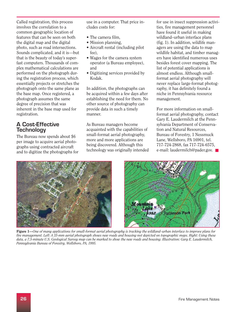Called registration, this process involves the correlation to a common geographic location of features that can be seen on both the digital map and the digital photo, such as road intersections. Sounds complicated, and it is—but that is the beauty of today's superfast computers. Thousands of complex mathematical calculations are performed on the photograph during the registration process, which essentially projects or stretches the photograph onto the same plane as the base map. Once registered, a photograph assumes the same degree of precision that was inherent in the base map used for registration.

### A Cost-Effective **Technology**

The Bureau now spends about \$6 per image to acquire aerial photographs using contracted aircraft and to digitize the photographs for use in a computer. That price includes costs for:

- The camera film,
- Mission planning,
- Aircraft rental (including pilot fee),
- Wages for the camera system operator (a Bureau employee), and
- Digitizing services provided by Kodak.

In addition, the photographs can be acquired within a few days after establishing the need for them. No other source of photography can provide data in such a timely manner.

As Bureau managers become acquainted with the capabilities of small-format aerial photography, more and more applications are being discovered. Although this technology was originally intended for use in insect suppression activities, fire management personnel have found it useful in making wildland–urban interface plans (fig. 1). In addition, wildlife managers are using the data to map wildlife habitat, and timber managers have identified numerous uses besides forest cover mapping. The list of potential applications is almost endless. Although smallformat aerial photography will never replace large-format photography, it has definitely found a niche in Pennsylvania resource management.

For more information on smallformat aerial photography, contact Gary E. Laudermilch at the Pennsylvania Department of Conservation and Natural Resources, Bureau of Forestry, 1 Nessmuck Lane, Wellsboro, PA 16901, tel. 717-724-2868, fax 717-724-6575, e-mail: laudermilch@pader.gov. ■



Figure 1—*One of many applications for small-format aerial photography is tracking the wildland–urban interface to improve plans for fire management. Left: A 35-mm aerial photograph shows new roads and housing not depicted on topographic maps. Right: Using these data, a 7.5-minute U.S. Geological Survey map can be marked to show the new roads and housing. Illustration: Gary E. Laudermilch, Pennsylvania Bureau of Forestry, Wellsboro, PA, 1995.*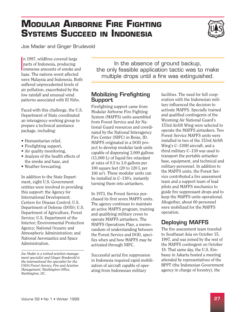# <span id="page-26-0"></span>**MODULAR AIRBORNE FIRE FIGHTING SYSTEMS SUCCEED IN INDONESIA**



Joe Madar and Ginger Brudevold

parts of Indonesia, producing<br>immense amounts of smoke and n 1997, wildfires covered large parts of Indonesia, producing haze. The nations worst affected were Malaysia and Indonesia. Both suffered unprecedented levels of air pollution, exacerbated by the low rainfall and unusual wind patterns associated with El Niño.

Faced with this challenge, the U.S. Department of State coordinated an interagency working group to prepare a technical assistance package, including:

- Humanitarian relief,
- Firefighting support,
- Air quality monitoring,
- Analysis of the health effects of the smoke and haze, and
- Weather forecasting.

In addition to the State Department, eight U.S. Government entities were involved in providing this support: the Agency for International Development; Centers for Disease Control; U.S. Department of Defense (DOD); U.S. Department of Agriculture, Forest Service; U.S. Department of the Interior; Environmental Protection Agency; National Oceanic and Atmospheric Administration; and National Aeronautics and Space Administration.

In the absence of ground backup, the only feasible application tactic was to make multiple drops until a fire was extinguished.

### Mobilizing Firefighting Support

Firefighting support came from Modular Airborne Fire Fighting System (MAFFS) units assembled from Forest Service and Air National Guard resources and coordinated by the National Interagency Fire Center (NIFC) in Boise, ID. MAFFS originated in a DOD project to develop modular tank units capable of dispensing 3,000 gallons (11,000 L) of liquid fire retardant at rates of 0.5 to 3.0 gallons per 100 square feet (20 to 120 L per 100 m2 ). These modular units can be installed in C–130's, instantly turning them into airtankers.

In 1973, the Forest Service purchased its first seven MAFFS units. The agency continues to maintain an active MAFFS program, training and qualifying military crews to operate MAFFS airtankers. The MAFFS Operations Plan, a memorandum of understanding between the Forest Service and DOD, specifies when and how MAFFS may be activated through NIFC.

Successful aerial fire suppression in Indonesia required rapid mobilization of aircraft capable of operating from Indonesian military

facilities. The need for full cooperation with the Indonesian military influenced the decision to activate MAFFS. Specially trained and qualified contingents of the Wyoming Air National Guard's 153rd Airlift Wing were selected to operate the MAFFS airtankers. Two Forest Service MAFFS units were installed in two of the 153rd Airlift Wing's C–130H aircraft, and a third military C–130 was used to transport the portable airtanker base, equipment, and technical and military personnel. In addition to the MAFFS units, the Forest Service contributed a fire assessment team and a support team of lead pilots and MAFFS mechanics to guide fire suppressant drops and to keep the MAFFS units operational. Altogether, about 60 personnel were mobilized for the MAFFS operation.

### Deploying MAFFS

The fire assessment team traveled to Southeast Asia on October 15, 1997, and was joined by the rest of the MAFFS contingent on October 18. That same day, the U.S. Embassy in Jakarta hosted a meeting attended by representatives of the BPPT (the Indonesian Government agency in charge of forestry), the

*Joe Madar is a retired aviation management specialist and Ginger Brudevold is the international fire specialist for the USDA Forest Service, Fire and Aviation Management, Washington Office, Washington, DC.*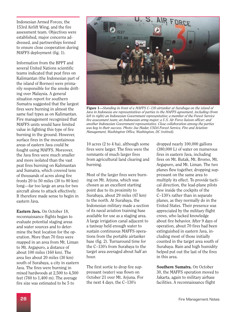Indonesian Armed Forces, the 153rd Airlift Wing, and the fire assessment team. Objectives were established, major concerns addressed, and partnerships formed to ensure close cooperation during MAFFS deployment (fig. 1).

Information from the BPPT and several United Nations scientific teams indicated that peat fires on Kalimantan (the Indonesian part of the island of Borneo) were primarily responsible for the smoke drifting over Malaysia. A general situation report for southern Sumatra suggested that the largest fires were burning in almost the same fuel types as on Kalimantan. Fire management recognized that MAFFS units would have limited value in fighting this type of fire burning in the ground. However, surface fires in the mountainous areas of eastern Java could be fought using MAFFS. Moreover, the Java fires were much smaller and more isolated than the vast peat fires burning on Kalimantan and Sumatra, which covered tens of thousands of acres along fire fronts 20 to 50 miles (30 to 80 km) long—far too large an area for two aircraft alone to attack effectively. It therefore made sense to begin in eastern Java.

Eastern Java. On October 18, reconnaissance flights began to evaluate potential staging areas and water sources and to determine the best location for the operation. More than 70 fires were mapped in an area from Mt. Liman to Mt. Argapuro, a distance of about 100 miles (160 km). The area lies about 20 miles (30 km) south of Surabaya, a city in eastern Java. The fires were burning in mixed hardwoods at 2,500 to 4,500 feet (760 to 1,400 m). The average fire size was estimated to be 5 to



Figure 1—*Standing in front of a MAFFS C–130 airtanker at Surabaya on the island of Java in Indonesia are representatives of parties to the MAFFS agreement, including (from left to right) an Indonesian Government representative; a member of the Forest Service fire assessment team; an Indonesian army major; a U.S. Air Force liaison officer; and another Indonesian Government representative. Close collaboration among the parties was key to their success. Photo: Joe Madar, USDA Forest Service, Fire and Aviation Management, Washington Office, Washington, DC (retired).* 

10 acres (2 to 4 ha), although some fires were larger. The fires were the remnants of much larger fires from agricultural land clearing and burning.

Most of the larger fires were burning on Mt. Arjuna, which was chosen as an excellent starting point due to its proximity to Surabaya, about 29 miles (47 km) to the north. At Surabaya, the Indonesian military made a section of its naval aviation training base available for use as a staging area. A large irrigation canal adjacent to a taxiway held enough water to sustain continuous MAFFS operations from the portable airtanker base (fig. 2). Turnaround time for the C–130's from Surabaya to the target area averaged about half an hour.

The first sortie to drop fire suppressant (water) was flown on October 21 over Mt. Arjuna. For the next 4 days, the C–130's

dropped nearly 100,000 gallons (380,000 L) of water on numerous fires in eastern Java, including fires on Mt. Butak, Mt. Bromo, Mt. Argapuro, and Mt. Liman. The two planes flew together, dropping suppressant on the same area to multiply its effect. To provide tactical direction, the lead-plane pilots flew inside the cockpits of the C–130's rather than in separate planes, as they normally do in the United States. Their presence was appreciated by the military flight crews, who lacked knowledge about fire behavior. After 9 days of operation, about 70 fires had been extinguished in eastern Java, including most of those initially counted in the target area south of Surabaya. Rain and high humidity helped put out the last of the fires in this area.

Southern Sumatra. On October 30, the MAFFS operation moved to Jakarta, again to military airbase facilities. A reconnaissance flight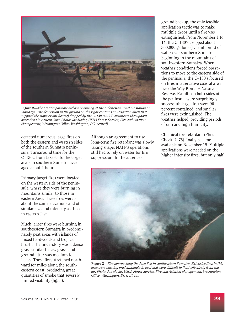

Figure 2—*The MAFFS portable airbase operating at the Indonesian naval air station in Surabaya. The depression in the ground on the right contains an irrigation ditch that supplied the suppressant (water) dropped by the C–130 MAFFS airtankers throughout operations in eastern Java. Photo: Joe Madar, USDA Forest Service, Fire and Aviation Management, Washington Office, Washington, DC (retired).* 

detected numerous large fires on both the eastern and western sides of the southern Sumatra peninsula. Turnaround time for the C–130's from Jakarta to the target areas in southern Sumatra averaged about 1 hour.

Primary target fires were located on the western side of the peninsula, where they were burning in mountains similar to those in eastern Java. These fires were at about the same elevations and of similar size and intensity as those in eastern Java.

Much larger fires were burning in southeastern Sumatra in predominately peat areas with islands of mixed hardwoods and tropical brush. The understory was a dense grass similar to saw grass, and ground litter was medium to heavy. These fires stretched northward for miles along the southeastern coast, producing great quantities of smoke that severely limited visibility (fig. 3).

Although an agreement to use long-term fire retardant was slowly taking shape, MAFFS operations still had to rely on water for fire suppression. In the absence of

ground backup, the only feasible application tactic was to make multiple drops until a fire was extinguished. From November 1 to 14, the C–130's dropped about 300,000 gallons (1.1 million L) of water over southern Sumatra, beginning in the mountains of southwestern Sumatra. When weather conditions forced operations to move to the eastern side of the peninsula, the C–130's focused on fires in a sensitive coastal area near the Way Kombos Nature Reserve. Results on both sides of the peninsula were surprisingly successful: large fires were 90 percent contained, and smaller fires were extinguished. The weather helped, providing periods of rain and high humidity.

Chemical fire retardant (Phos-Check D–75) finally became available on November 15. Multiple applications were needed on the higher intensity fires, but only half



Figure 3—*Fire approaching the Java Sea in southeastern Sumatra. Extensive fires in this area were burning predominately in peat and were difficult to fight effectively from the air. Photo: Joe Madar, USDA Forest Service, Fire and Aviation Management, Washington Office, Washington, DC (retired).*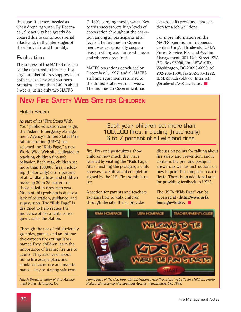<span id="page-29-0"></span>the quantities were needed as when dropping water. By December, fire activity had greatly decreased due to continuous aerial attack and, in the later stages of the effort, rain and humidity.

### Evaluation

The success of the MAFFS mission can be measured in terms of the large number of fires suppressed in both eastern Java and southern Sumatra—more than 140 in about 6 weeks, using only two MAFFS

C–130's carrying mostly water. Key to this success were high levels of cooperation throughout the operation among all participants at all levels. The Indonesian Government was exceptionally cooperative, providing assistance whenever and wherever required.

MAFFS operations concluded on December 1, 1997, and all MAFFS staff and equipment returned to the United States within 1 week. The Indonesian Government has

expressed its profound appreciation for a job well done.

For more information on the MAFFS operation in Indonesia, contact Ginger Brudevold, USDA Forest Service, Fire and Aviation Management, 201 14th Street, SW., P.O. Box 96090, Rm. 2SW AUD, Washington, DC 20090-6090, tel. 202-205-1500, fax 202-205-1272, IBM: gbrudevold/wo, Internet: gbrudevold/wo@fs.fed.us. ■

## NEW FIRE SAFETY WEB SITE FOR CHILDREN

### Hutch Brown

As part of its "Fire Stops With You" public education campaign, the Federal Emergency Management Agency's United States Fire Administration (USFA) has released the "Kids Page," a new World Wide Web site dedicated to teaching children fire-safe behavior. Each year, children set more than 100,000 fires, including (historically) 6 to 7 percent of all wildland fires; and children make up 20 to 25 percent of those killed in fires each year. Much of this problem is due to a lack of education, guidance, and supervision. The "Kids Page" is designed to help reduce the incidence of fire and its consequences for the Nation.

Through the use of child-friendly graphics, games, and an interactive cartoon fire extinguisher named Exty, children learn the importance of leaving fire use to adults. They also learn about home fire escape plans and smoke detector use and maintenance—key to staying safe from

*Hutch Brown is editor of* Fire Management Notes, *Arlington, VA.* 

Each year, children set more than 100,000 fires, including (historically) 6 to 7 percent of all wildland fires.

fire. Pre- and postquizzes show children how much they have learned by visiting the "Kids Page." After finishing the postquiz, a child receives a certificate of completion signed by the U.S. Fire Administrator.

A section for parents and teachers explains how to walk children through the site. It also provides

discussion points for talking about fire safety and prevention, and it contains the pre- and postquiz answers as well as instructions on how to print the completion certificate. There is an additional area for providing feedback to USFA.

The USFA "Kids Page" can be accessed at <[http://www.usfa.](http://www.usfa.fema.gov/kids)  fema.gov/kids>. ■



*Home page of the U.S. Fire Administration's new fire safety Web site for children. Photo: Federal Emergency Management Agency, Washington, DC, 1998.*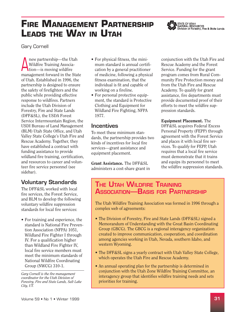# <span id="page-30-0"></span>**FIRE MANAGEMENT PARTNERSHIP LEADS THE WAY IN UTAH**



STATE OF UTAH<br>NATURAL RESOURCES<br>Division of Forestry, Fire & State Lands

Gary Cornell

Anew partnership—the Utah<br>
Wildfire Training Associa-<br>
tion—is moving wildfire Wildfire Training Associamanagement forward in the State of Utah. Established in 1996, the partnership is designed to ensure the safety of firefighters and the public while providing effective response to wildfires. Partners include the Utah Division of Forestry, Fire and State Lands (DFF&SL), the USDA Forest Service Intermountain Region, the USDI Bureau of Land Management (BLM) Utah State Office, and Utah Valley State College's Utah Fire and Rescue Academy. Together, they have established a contract with funding assistance to provide wildland fire training, certification, and resources to career and volunteer fire service personnel (see sidebar).

### Voluntary Standards

The DFF&SL worked with local fire services, the Forest Service, and BLM to develop the following voluntary wildfire suppression standards for local fire services:

• For training and experience, the standard is National Fire Prevention Association (NFPA) 1051, Wildland Fire Fighter I through IV. For a qualification higher than Wildland Fire Fighter IV, local fire service members must meet the minimum standards of National Wildfire Coordinating Group (NWCG) 310-1.

*Gary Cornell is the fire management coordinator for the Utah Division of Forestry, Fire and State Lands, Salt Lake City, UT.* 

- For physical fitness, the minimum standard is annual certification by a general practitioner of medicine, following a physical fitness examination, that the individual is fit and capable of working on a fireline.
- For personal protective equipment, the standard is Protective Clothing and Equipment for Wildland Fire Fighting, NFPA 1977.

### Incentives

To meet these minimum standards, the partnership provides two kinds of incentives for local fire services—grant assistance and equipment placement.

Grant Assistance. The DFF&SL administers a cost-share grant in

conjunction with the Utah Fire and Rescue Academy and the Forest Service. Funding for the grant program comes from Rural Community Fire Protection money and from the Utah Fire and Rescue Academy. To qualify for grant assistance, fire departments must provide documented proof of their efforts to meet the wildfire suppression standards.

Equipment Placement. The DFF&SL acquires Federal Excess Personal Property (FEPP) through agreement with the Forest Service and places it with local fire services. To qualify for FEPP, Utah requires that a local fire service must demonstrate that it trains and equips its personnel to meet the wildfire suppression standards.

### THE UTAH WILDFIRE TRAINING ASSOCIATION—BASIS FOR PARTNERSHIP

The Utah Wildfire Training Association was formed in 1996 through a complex web of agreements:

- The Division of Forestry, Fire and State Lands (DFF&SL) signed a Memorandum of Understanding with the Great Basin Coordinating Group (GBCG). The GBCG is a regional interagency organization created to improve communication, cooperation, and coordination among agencies working in Utah, Nevada, southern Idaho, and western Wyoming.
- The DFF&SL signs a yearly contract with Utah Valley State College, which operates the Utah Fire and Rescue Academy.
- An annual operating plan for the partnership is determined in conjunction with the Utah Zone Wildfire Training Committee, an interagency group that identifies wildfire training needs and sets priorities for training.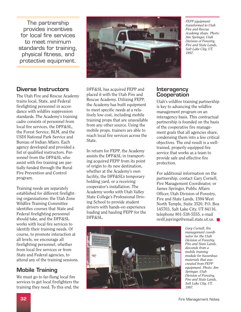*Academy shops. Photo:* provides incentives *1997.* physical fitness, and protective equipment.

### Diverse Instructors

The Utah Fire and Rescue Academy trains local, State, and Federal firefighting personnel in accordance with wildfire suppression standards. The Academy's training cadre consists of personnel from local fire services, the DFF&SL, the Forest Service, BLM, and the USDI National Park Service and Bureau of Indian Affairs. Each agency developed and provided a list of qualified instructors. Personnel from the DFF&SL who assist with fire training are partially funded through the Rural Fire Prevention and Control program.

Training needs are separately established for different firefighting organizations: the Utah Zone Wildfire Training Committee identifies courses that State and Federal firefighting personnel should take, and the DFF&SL works with local fire services to identify their training needs. Of course, to promote interaction at all levels, we encourage all firefighting personnel, whether from local fire services or from State and Federal agencies, to attend any of the training sessions.

### Mobile Training

We must go to far-flung local fire services to get local firefighters the training they need. To this end, the



*Fire and Rescue* 

DFF&SL has acquired FEPP and placed it with the Utah Fire and Rescue Academy. Utilizing FEPP, the Academy has built equipment to meet specific needs at a relatively low cost, including mobile training props that are unavailable from any other source. Using the mobile props, trainers are able to reach local fire services across the State.

In return for FEPP, the Academy assists the DFF&SL in transporting acquired FEPP from its point of origin to its new destination, whether at the Academy's own facility, the DFF&SL's temporary holding yard, or a receiving cooperator's installation. The Academy works with Utah Valley State College's Professional Driving School to provide student drivers with hands-on experience loading and hauling FEPP for the DFF&SL.

### **Interagency Cooperation**

Utah's wildfire training partnership is key to advancing the wildfire management program on an interagency basis. This contractual partnership is founded on the basis of the cooperative fire management goals that all agencies share, condensing them into a few critical objectives. The end result is a welltrained, properly equipped fire service that works as a team to provide safe and effective fire protection.

For additional information on the partnership, contact Gary Cornell, Fire Management Coordinator, or James Springer, Public Affairs Officer, Utah Division of Forestry, Fire and State Lands, 1594 West North Temple, Suite 3520, P.O. Box 145703, Salt Lake City, UT 84116, telephone 801-538-5555, e-mail nrslf.jspringe@email.state.ut.us. ■



*Gary Cornell, fire management coordinator for the Utah Division of Forestry, Fire and State Lands, descends from a mobile training module for hazardous materials that was created from FEPP equipment. Photo: Jim Springer, Utah Division of Forestry, Fire and State Lands, Salt Lake City, UT, 1997.*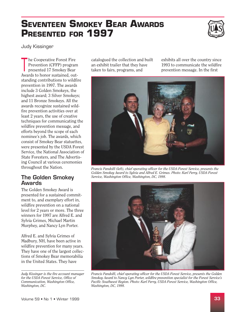# <span id="page-32-0"></span>**SEVENTEEN SMOKEY BEAR AWARDS PRESENTED FOR 1997**



Judy Kissinger

The Cooperative Forest Fire<br>
Prevention (CFFP) program<br>
presented 17 Smokey Bear Prevention (CFFP) program Awards to honor sustained, outstanding contributions to wildfire prevention in 1997. The awards include 3 Golden Smokeys, the highest award; 3 Silver Smokeys; and 11 Bronze Smokeys. All the awards recognize sustained wildfire prevention activities over at least 2 years, the use of creative techniques for communicating the wildfire prevention message, and efforts beyond the scope of each nominee's job. The awards, which consist of Smokey Bear statuettes, were presented by the USDA Forest Service, the National Association of State Foresters, and The Advertising Council at various ceremonies throughout the Nation.

### The Golden Smokey Awards

The Golden Smokey Award is presented for a sustained commitment to, and exemplary effort in, wildfire prevention on a national level for 2 years or more. The three winners for 1997 are Alfred E. and Sylvia Grimes, Michael Martin Murphey, and Nancy Lyn Porter.

Alfred E. and Sylvia Grimes of Madbury, NH, have been active in wildfire prevention for many years. They have one of the largest collections of Smokey Bear memorabilia in the United States. They have

*Judy Kissinger is the fire account manager for the USDA Forest Service, Office of Communication, Washington Office, Washington, DC.* 

catalogued the collection and built exhibits all over the country since an exhibit trailer that they have 1993 to communicate the wildfire taken to fairs, programs, and prevention message. In the first



*Francis Pandolfi (left), chief operating officer for the USDA Forest Service, presents the Golden Smokey Award to Sylvia and Alfred E. Grimes. Photo: Karl Perry, USDA Forest Service, Washington Office, Washington, DC, 1998.* 



*Francis Pandolfi, chief operating officer for the USDA Forest Service, presents the Golden Smokey Award to Nancy Lyn Porter, wildfire prevention specialist for the Forest Service's Pacific Southwest Region. Photo: Karl Perry, USDA Forest Service, Washington Office, Washington, DC, 1998.*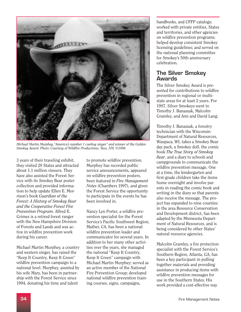

*Michael Martin Murphey,"America's number 1 cowboy singer" and winner of the Golden Smokey Award. Photo: Courtesy of Wildfire Productions, Taos, NM, ©1998.* 

3 years of their traveling exhibit, they visited 20 States and attracted about 1.1 million viewers. They have also assisted the Forest Service with its Smokey Bear poster collection and provided information to help update Ellen E. Morrison's book *Guardian of the Forest: A History of Smokey Bear and the Cooperative Forest Fire Prevention Program*. Alfred E. Grimes is a retired forest ranger with the New Hampshire Division of Forests and Lands and was active in wildfire prevention work during his career.

Michael Martin Murphey, a country and western singer, has raised the "Keep It Country, Keep It Green" wildfire prevention campaign to a national level. Murphey, assisted by his wife Mary, has been in partnership with the Forest Service since 1994, donating his time and talent

to promote wildfire prevention. Murphey has recorded public service announcements, appeared on wildfire prevention posters, been featured in *Fire Management Notes* (Chambers 1997), and given the Forest Service the opportunity to participate in the events he has been involved in.

Nancy Lyn Porter, a wildfire prevention specialist for the Forest Service's Pacific Southwest Region, Mather, CA, has been a national wildfire prevention leader and communicator for several years. In addition to her many other activities over the years, she managed the national "Keep It Country, Keep It Green" campaign with Michael Martin Murphey; served as an active member of the National Fire Prevention Group; developed national wildfire prevention training courses, signs, campaigns,

handbooks, and CFFP catalogs; worked with private entities, States and territories, and other agencies on wildfire prevention programs; helped develop consistent Smokey licensing guidelines; and served on the national planning committee for Smokey's 50th anniversary celebration.

### The Silver Smokey Awards

The Silver Smokey Award is presented for contributions to wildfire prevention in regional or multistate areas for at least 2 years. For 1997, Silver Smokeys went to Timothy J. Banaszak, Malcolm Gramley, and Ann and David Lang.

Timothy J. Banaszak, a forestry technician with the Wisconsin Department of Natural Resources, Waupaca, WI, takes a Smokey Bear day pack, a Smokey doll, the comic book *The True Story of Smokey Bear*, and a diary to schools and campgrounds to communicate the wildfire prevention message. One at a time, the kindergarten and first-grade children take the items home overnight and involve parents in reading the comic book and writing in the diary so that parents also receive the message. The project has expanded to nine counties in the area Resource Conservation and Development district, has been adapted by the Minnesota Department of Natural Resources, and is being considered by other States' natural resource agencies.

Malcolm Gramley, a fire protection specialist with the Forest Service's Southern Region, Atlanta, GA, has been a key participant in pulling together materials and providing assistance in producing items with wildfire prevention messages for use in the Southern States. His work provided a cost-effective way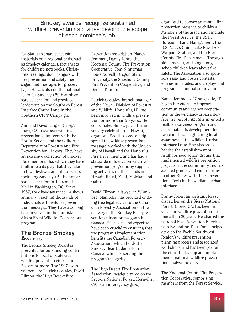Smokey awards recognize sustained<br>
Smokey awards recognize sustained<br>
organized to convey an annual fire<br>
organized to convey an annual fire wildfire prevention activities beyond the scope<br>of each nominee's job.<br>of each nominee's job.<br>the Forest Service, the USDI

for States to share successful materials on a regional basis, such as Smokey calendars, fact sheets for children's notebooks, Christmas tree tags, door hangers with fire prevention and safety messages, and messages for grocery bags. He was also on the national team for Smokey's 50th anniversary celebration and provided leadership on the Southern Forest Interface Council and in the Southern CFFP Campaign.

Ann and David Lang of Georgetown, CA, have been wildfire prevention volunteers with the Forest Service and the California Department of Forestry and Fire Prevention for 11 years. They have an extensive collection of Smokey Bear memorabilia, which they have built into a display that they take to town festivals and other events, including Smokey's 50th anniversary celebration in 1994 on the Mall in Washington, DC. Since 1987, they have averaged 14 shows annually, reaching thousands of individuals with wildfire prevention messages. They have also long been involved in the multistate Sierra Front Wildfire Cooperators programs.

### The Bronze Smokey Awards

The Bronze Smokey Award is presented for outstanding contributions to local or statewide wildfire prevention efforts for 2 years or more. The 1997 award winners are Patrick Costales, David Filmon, the High Desert Fire

Prevention Association, Nancy Jemmett, Danny Jones, the Kootenai County Fire Prevention Cooperative, Tom Ninneman, Louis Norvell, Oregon State University, the Shoshone County Fire Prevention Cooperative, and Denise Tomlin.

Patrick Costales, branch manager of the Hawaii Division of Forestry and Wildlife, Honolulu, HI, has been involved in wildfire prevention for more than 20 years. He coordinated Smokey's 50th anniversary celebration in Hawaii, organized Scout troops to help spread the wildfire prevention message, worked with the University of Hawaii and the Honolulu Fire Department, and has had a statewide influence on wildfire prevention programs by supporting activities on the islands of Hawaii, Kauai, Maui, Molokai, and Oahu.

David Filmon, a lawyer in Winnipeg, Manitoba, has provided ongoing free legal advice to the Canadian Forestry Association on the delivery of the Smokey Bear prevention education program in Canada. His advice and expertise have been crucial to ensuring that the program's implementation benefits the Canadian Forestry Association (which holds the Smokey Bear trademark in Canada) while preserving the program's integrity.

The High Desert Fire Prevention Association, headquartered on the Sequoia National Forest, Kernville, CA, is an interagency group

Bureau of Land Management, the U.S. Navy's China Lake Naval Air Weapons Station, and the Kern County Fire Department. Through skits, movies, and sing-alongs, schoolchildren learn about fire safety. The Association also sponsors essay and poster contests, entries in parades, and displays and programs at annual county fairs.

Nancy Jemmett of Grangeville, ID, began her efforts to improve community and agency cooperation in the wildland–urban interface in Prescott, AZ. She invented a realtor awareness program and coordinated its development for two counties, heightening local awareness of the wildland–urban interface issue. She also spearheaded the establishment of neighborhood action groups that implemented wildfire prevention projects in the community and has assisted groups and communities in other States with their prevention efforts in the wildland–urban interface.

Danny Jones, an assistant forest dispatcher on the Sierra National Forest, Clovis, CA, has been involved in wildfire prevention for more than 20 years. He chaired the national Fire Prevention Effectiveness Evaluation Task Force, helped develop the Pacific Southwest Region's wildfire prevention planning process and associated workshops, and has been part of the effort to develop and implement a national wildfire prevention analysis process.

The Kootenai County Fire Prevention Cooperative, comprising members from the Forest Service,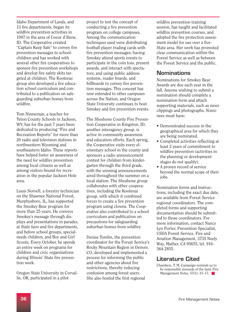Idaho Department of Lands, and 13 fire departments, began its wildfire prevention activities in 1987 in the area of Coeur d'Alene, ID. The Cooperative created "Captain Keep Safe" to convey fire prevention messages to schoolchildren and has worked with several other fire cooperatives to sponsor fire prevention workshops and develop fire safety skits targeted at children. The Kootenai group also developed a fire education school curriculum and contributed to a publication on safeguarding suburban homes from wildfire.

Tom Ninneman, a teacher for Teton County Schools in Jackson, WY, has for the past 7 years been dedicated to producing "Fire and Recreation Reports" for more than 20 radio and television stations in northwestern Wyoming and southeastern Idaho. These reports have helped foster an awareness of the need for wildfire prevention among local citizens as well as among visitors bound for recreation in the popular Jackson Hole area.

Louis Norvell, a forestry technician on the Shawnee National Forest, Murphysboro, IL, has supported the Smokey Bear program for more than 25 years. He conveys Smokey's message through displays and presentations in parades, at State fairs and fire departments, and before school groups, specialneeds children, and Boy and Girl Scouts. Every October, he spends an entire week on programs for children and civic organizations during Illinois' State fire prevention week.

Oregon State University in Corvallis, OR, participated in a pilot

project to test the concept of conducting a fire prevention program on college campuses. Among the communication techniques used were distributing football player trading cards with fire prevention messages; having Smokey attend sports events to participate in the coin toss, present awards, and interact with spectators; and using public address systems, reader boards, and billboards to convey fire prevention messages. This concept has now extended to other campuses across the Nation, and Oregon State University continues to host Smokey and fire prevention events.

The Shoshone County Fire Prevention Cooperative in Kingston, ID, another interagency group, is active in community awareness and education efforts. Each spring, the Cooperative visits every elementary school in the county and sponsors a radio announcement contest for children from kindergarten through the third grade, with the winning announcements aired throughout the summer on a local station. The Shoshone group collaborates with other cooperatives, including the Kootenai group, with which it combined forces to create a fire prevention program using clowns. The Cooperative also contributed to a school curriculum and publication on precautions for safeguarding suburban homes from wildfire.

Denise Tomlin, the prevention coordinator for the Forest Service's Rocky Mountain Region in Denver, CO, developed and implemented a process for informing the public and other agencies about fire restrictions, thereby reducing confusion among forest users. She also hosted the first regional

wildfire prevention training session, has taught and facilitated wildfire prevention courses, and adopted the fire protection assessment model for use over a five-State area. Her work has promoted clear communication within the Forest Service as well as between the Forest Service and the public.

### **Nominations**

Nominations for Smokey Bear Awards are due each year in the fall. Anyone wishing to submit a nomination should complete a nomination form and attach supporting materials, such as news clippings and photographs. Nominees must have:

- Demonstrated success in the geographical area for which they are being nominated.
- Completed activities reflecting at least 2 years of commitment to wildfire prevention (activities in the planning or development stages do not qualify).
- A proven record of service beyond the normal scope of their jobs.

Nomination forms and instructions, including the exact due date, are available from Forest Service regional coordinators. The completed forms and supporting documentation should be submitted to those coordinators. For more information, contact Nancy Lyn Porter, Prevention Specialist, USDA Forest Service, Fire and Aviation Management, 3735 Neely Way, Mather, CA 95655, tel. 916 364-2855.

### Literature Cited

Management Notes.  $57(1)$ : 15–17. Chambers, T. M. Campaign reminds us to be responsible stewards of the land. Fire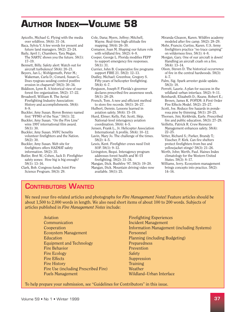# <span id="page-36-0"></span>**AUTHOR INDEX—VOLUME 58**

- Apicello, Michael G. Flying with the media over wildfires. 58(4): 31–34.
- Baca, Sylvia V. A few words for present and future land managers. 58(2): 23–24.
- Baily, April J.; Chambers, Tara Megan. The NARTC shows you the future. 58(1): 17–19.
- Bennett, Billy. Safety alert: Watch out for aircraft turbulence! 58(4): 20–21.
- Beyers, Jan L.; Wohlgemuth, Peter M.; Wakeman, Carla D.; Conard, Susan G. Does ryegrass seeding control postfire erosion in chaparral? 58(3): 30–34.
- Biddison, Lynn R. A historical view of our forest fire organization. 58(2): 17–22.

Broadwell, William R. The Aerial Firefighting Industry Association: History and accomplishments. 58(4): 8–9.

Buckler, Amy Susan. Byron Bonney named first "FFMO of the Year." 58(1): 32.

- Buckler, Amy Susan. "On the Fire Line" wins 1997 international film award. 58(1): 30.
- Buckler, Amy Susan. NVFC benefits volunteer firefighters and the Nation. 58(2): 30.
- Buckler, Amy Susan. Web site for firefighters offers HAZMAT safety information. 58(2): 35.
- Butler, Bret W.; Cohen, Jack D. Firefighter safety zones: How big is big enough? 58(1): 13–16.

Clark, Bob. Congress funds Joint Fire Science Program. 58(3): 29.

- Cole, Dana; Myers, Jeffrey; Mitchell, Wayne. Real-time high-altitude fire mapping. 58(4): 26–30.
- Comanor, Joan M. Shaping our future role with wildland fire. 58(2): 6–8.

Cooper, George L. Florida modifies FEPP to support emergency fire responses. 58(1): 31.

- Currier, John B. Cooperative fire programs support FIRE 21. 58(2): 12–13.
- Dudley, Michael; Greenhoe, Gregory S. Fifty years of helicopter firefighting. 58(4): 6–7.
- Ferguson, Joseph P. Florida's governor declares prescribed fire awareness week. 58(1): 28–29.
- French, Tom. A new and efficient method to store fire records. 58(1): 26–27.
- Hulbert, Dennis. Lessons learned in aviation safety. 58(4): 15–19.

Hurd, Elmer; Kelly, Pat; Scott, Skip. National-level interagency aviation coordination.  $58(4)$ :  $4-5$ .

Jensen, Frank L., Jr. Helicopter Association International: A profile. 58(4): 10–12.

- Lavin, Mary Jo. The challenge of the times. 58(2): 4–5.
- Lewis, Kent. Firefighter crews need Unit SOP. 58(1): 9–12.
- Livingston, Bequi. Interagency program addresses forest health and W–UI firefighting. 58(2): 31–34.
- Mangan, Dick. Bushfire '97. 58(3): 19–20.
- Mangan, Dick. Mountain driving video now available. 58(1): 25.
- Miranda-Gleason, Karen. Wildfire academy modeled after fire camp. 58(2): 28–29.
- Mohr, Francis; Curtiss, Karen. U.S. Army firefighters practice "no trace camping" on wilderness fires. 58(1): 4–8.
- Morgan, Gary. One of our aircraft is down! Handling an aircraft crash on a fire. 58(4): 13–14.
- Olson, Steven D. The historical occurrence of fire in the central hardwoods. 58(3): 4–7.
- Palm, Sig. Spark arrester guide update. 58(3): 18.
- Perrett, Laurie. A plan for success in the wildland–urban interface. 58(2): 9–11.
- Reinhardt, Elizabeth D.; Keane, Robert E.; Brown, James K. FOFEM: A First Order Fire Effects Model. 58(2): 25–27.
- Scott, Joe. Reduce fire hazards in ponderosa pine by thinning. 58(1): 20–25.
- Thorsen, Jim; Kirkbride, Earle. Prescribed fire and public education. 58(3): 27–29.

Veillette, Patrick R. Crew Resource Management enhances safety. 58(4): 22–25.

- Vetter, Richard S.; Parker, Brandy T.; Visscher, P. Kirk. Can fire shelters protect firefighters from bee and yellowjacket stings? 58(3): 21–26.
- Werth, John; Werth, Paul. Haines Index climatology for the Western United States. 58(3): 8–17.
- Williams, Jerry. Ecosystem management brings concepts into practice. 58(2): 14–16.

### CONTRIBUTORS WANTED

We need your fire-related articles and photographs for *Fire Management Notes*! Feature articles should be about 1,500 to 2,000 words in length. We also need short items of about 100 to 200 words. Subjects of articles published in *Fire Management Notes* include:

**Communication** Incident Management Ecosystem Management Personnel Education Planning (including Budgeting) Equipment and Technology Preparedness **Fire Behavior** Prevention **Fire Ecology** Safety **Fire Effects** Suppression **Fire History** Training Fire Use (including Prescribed Fire) Weather Fuels Management Wildland–Urban Interface

Aviation **Firefighting Experiences** Cooperation Information Management (including Systems)

To help prepare your submission, see "Guidelines for Contributors" in this issue.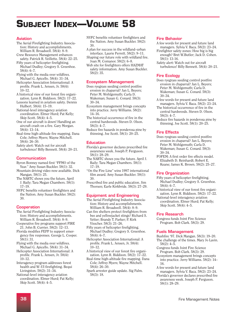# <span id="page-37-0"></span>**SUBJECT INDEX—VOLUME 58**

### Aviation

- The Aerial Firefighting Industry Association: History and accomplishments. William R. Broadwell. 58(4): 8–9.
- Crew Resource Management enhances safety. Patrick R. Veillette. 58(4): 22–25.
- Fifty years of helicopter firefighting. Michael Dudley; Gregory S. Greenhoe. 58(4): 6–7.
- Flying with the media over wildfires. Michael G. Apicello. 58(4): 31–34.
- Helicopter Association International: A profile. Frank L. Jensen, Jr. 58(4): 10–12.
- A historical view of our forest fire organization. Lynn R. Biddison. 58(2): 17–22.
- Lessons learned in aviation safety. Dennis Hulbert. 58(4): 15–19.
- National-level interagency aviation coordination. Elmer Hurd; Pat Kelly; Skip Scott. 58(4): 4–5.
- One of our aircraft is down! Handling an aircraft crash on a fire. Gary Morgan. 58(4): 13–14.
- Real-time high-altitude fire mapping. Dana Cole; Jeffrey Myers; Wayne Mitchell. 58(4): 26–30.
- Safety alert: Watch out for aircraft turbulence! Billy Bennett. 58(4): 20–21.

### **Communication**

- Byron Bonney named first "FFMO of the Year." Amy Susan Buckler. 58(1): 32.
- Mountain driving video now available. Dick Mangan. 58(1): 25.
- The NARTC shows you the future. April J. Baily; Tara Megan Chambers. 58(1): 17–19.
- NVFC benefits volunteer firefighters and the Nation. Amy Susan Buckler. 58(2): 30.

### **Cooperation**

- The Aerial Firefighting Industry Association: History and accomplishments. William R. Broadwell. 58(4): 8–9.
- Cooperative fire programs support FIRE 21. John B. Currier. 58(2): 12–13.
- Florida modifies FEPP to support emergency fire responses. George L. Cooper. 58(1): 31.
- Flying with the media over wildfires. Michael G. Apicello. 58(4): 31–34.
- Helicopter Association International: A profile. Frank L. Jensen, Jr. 58(4): 10–12.
- Interagency program addresses forest health and W–UI firefighting. Bequi Livingston. 58(2): 31–34.
- National-level interagency aviation coordination. Elmer Hurd; Pat Kelly; Skip Scott. 58(4): 4–5.
- NVFC benefits volunteer firefighters and the Nation. Amy Susan Buckler. 58(2): 30.
- A plan for success in the wildland–urban interface. Laurie Perrett. 58(2): 9–11.
- Shaping our future role with wildland fire. Joan M. Comanor. 58(2): 6–8.
- Web site for firefighters offers HAZMAT safety information. Amy Susan Buckler. 58(2): 35.

### Ecosystem Management

- Does ryegrass seeding control postfire erosion in chaparral? Jan L. Beyers; Peter M. Wohlgemuth; Carla D. Wakeman; Susan G. Conard. 58(3): 30–34.
- Ecosystem management brings concepts into practice. Jerry Williams. 58(2): 14–16.
- The historical occurrence of fire in the central hardwoods. Steven D. Olson.  $58(3): 4 - 7$ .
- Reduce fire hazards in ponderosa pine by thinning. Joe Scott. 58(1): 20–25.

### **Education**

- Florida's governor declares prescribed fire awareness week. Joseph P. Ferguson. 58(1): 28–29.
- The NARTC shows you the future. April J. Baily; Tara Megan Chambers. 58(1): 17–19.
- "On the Fire Line" wins 1997 international film award. Amy Susan Buckler. 58(1): 30.
- Prescribed fire and public education. Jim Thorsen; Earle Kirkbride. 58(3): 27–29.

### Equipment and Engineering

- The Aerial Firefighting Industry Association: History and accomplishments. William R. Broadwell. 58(4): 8–9.
- Can fire shelters protect firefighters from bee and yellowjacket stings? Richard S. Vetter; Brandy T. Parker; P. Kirk Visscher. 58(3): 21–26.
- Fifty years of helicopter firefighting. Michael Dudley; Gregory S. Greenhoe. 58(4): 6–7.
- Helicopter Association International: A profile. Frank L. Jensen, Jr. 58(4): 10–12.
- A historical view of our forest fire organization. Lynn R. Biddison. 58(2): 17–22.
- Real-time high-altitude fire mapping. Dana Cole; Jeffrey Myers; Wayne Mitchell. 58(4): 26–30.
- Spark arrester guide update. Sig Palm. 58(3): 18.

### Fire Behavior

- A few words for present and future land managers. Sylvia V. Baca. 58(2): 23–24.
- Firefighter safety zones: How big is big enough? Bret W.Butler; Jack D. Cohen. 58(1): 13-16.
- Safety alert: Watch out for aircraft turbulence! Billy Bennett. 58(4): 20–21.

### Fire Ecology

- Does ryegrass seeding control postfire erosion in chaparral? Jan L. Beyers; Peter M. Wohlgemuth; Carla D. Wakeman; Susan G. Conard. 58(3): 30–34.
- A few words for present and future land managers. Sylvia V. Baca. 58(2): 23–24.
- The historical occurrence of fire in the central hardwoods. Steven D. Olson. 58(3): 4–7.
- Reduce fire hazards in ponderosa pine by thinning. Joe Scott. 58(1): 20–25.

### Fire Effects

- Does ryegrass seeding control postfire erosion in chaparral? Jan L. Beyers; Peter M. Wohlgemuth; Carla D. Wakeman; Susan G. Conard. 58(3): 30–34.
- FOFEM: A first order fire effects model. Elizabeth D. Reinhardt; Robert E. Keane; James K. Brown. 58(2): 25–27.

### Fire Organization

- Fifty years of helicopter firefighting. Michael Dudley; Gregory S. Greenhoe. 58(4): 6–7.
- A historical view of our forest fire organization. Lynn R. Biddison. 58(2): 17–22.
- National-level interagency aviation coordination. Elmer Hurd; Pat Kelly; Skip Scott. 58(4): 4–5.

### Fire Research

Congress funds Joint Fire Science Program. Bob Clark. 58(3): 29.

### Fuels Management

- Bushfire '97. Dick Mangan. 58(3): 19–20.
- The challenge of the times. Mary Jo Lavin. 58(2): 4–5.
- Congress funds Joint Fire Science Program. Bob Clark. 58(3): 29.
- Ecosystem management brings concepts into practice. Jerry Williams. 58(2): 14– 16.
- A few words for present and future land managers. Sylvia V. Baca. 58(2): 23–24.
- Florida's governor declares prescribed fire awareness week. Joseph P. Ferguson. 58(1): 28–29.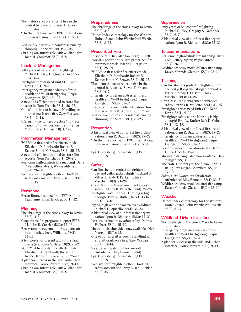- The historical occurrence of fire in the central hardwoods. Steven D. Olson. 58(3): 4–7.
- "On the Fire Line" wins 1997 international film award. Amy Susan Buckler. 58(1): 30.
- Reduce fire hazards in ponderosa pine by thinning. Joe Scott. 58(1): 20–25.
- Shaping our future role with wildland fire. Joan M. Comanor. 58(2): 6–8.

### Incident Management

- Fifty years of helicopter firefighting. Michael Dudley; Gregory S. Greenhoe. 58(4): 6–7.
- Firefighter crews need Unit SOP. Kent Lewis. 58(1): 9–12.
- Interagency program addresses forest health and W–UI firefighting. Bequi Livingston. 58(2): 31–34.
- A new and efficient method to store fire records. Tom French. 58(1): 26–27.
- One of our aircraft is down! Handling an aircraft crash on a fire. Gary Morgan. 58(4): 13–14.
- U.S. Army firefighters practice "no trace camping" on wilderness fires. Francis Mohr; Karen Curtiss. 58(1): 4–8.

### Information Management

- FOFEM: A first order fire effects model. Elizabeth D. Reinhardt; Robert E. Keane; James K. Brown. 58(2): 25–27.
- A new and efficient method to store fire records. Tom French. 58(1): 26–27.
- Real-time high-altitude fire mapping. Dana Cole; Jeffrey Myers; Wayne Mitchell. 58(4): 26–30.
- Web site for firefighters offers HAZMAT safety information. Amy Susan Buckler. 58(2): 35.

### Personnel

Byron Bonney named first "FFMO of the Year." Amy Susan Buckler. 58(1): 32.

### Planning

- The challenge of the times. Mary Jo Lavin. 58(2): 4–5.
- Cooperative fire programs support FIRE 21. John B. Currier. 58(2): 12–13.
- Ecosystem management brings concepts into practice. Jerry Williams. 58(2): 14–16.
- A few words for present and future land managers. Sylvia V. Baca. 58(2): 23–24.
- FOFEM: A first order fire effects model. Elizabeth D. Reinhardt; Robert E. Keane; James K. Brown. 58(2): 25–27.
- A plan for success in the wildland–urban interface. Laurie Perrett. 58(2): 9–11.
- Shaping our future role with wildland fire. Joan M. Comanor. 58(2): 6–8.

### Preparedness

- The challenge of the times. Mary Jo Lavin. 58(2): 4–5.
- Haines Index climatology for the Western United States. John Werth; Paul Werth. 58(3): 8–17.

### Prescribed Fire

- Bushfire '97. Dick Mangan. 58(3): 19–20.
- Florida's governor declares prescribed fire awareness week. Joseph P. Ferguson. 58(1): 28–29.
- FOFEM: A first order fire effects model. Elizabeth D. Reinhardt; Robert E. Keane; James K. Brown. 58(2): 25–27.
- The historical occurrence of fire in the central hardwoods. Steven D. Olson. 58(3): 4–7.
- Interagency program addresses forest health and W–UI firefighting. Bequi Livingston. 58(2): 31–34.
- Prescribed fire and public education. Jim Thorsen; Earle Kirkbride. 58(3): 27–29.
- Reduce fire hazards in ponderosa pine by thinning. Joe Scott. 58(1): 20–25.

### **Prevention**

- A historical view of our forest fire organization. Lynn R. Biddison. 58(2): 17–22.
- "On the Fire Line" wins 1997 international film award. Amy Susan Buckler. 58(1): 30.
- Spark arrester guide update. Sig Palm. 58(3): 18.

### **Safety**

- Can fire shelters protect firefighters from bee and yellowjacket stings? Richard S. Vetter; Brandy T. Parker; P. Kirk Visscher. 58(3): 21–26.
- Crew Resource Management enhances safety. Patrick R. Veillette. 58(4): 22–25.
- Firefighter safety zones: How big is big enough? Bret W. Butler; Jack D. Cohen. 58(1): 13–16.
- Flying high with the media over wildfires. Michael G. Apicello. 58(4): 31–34.
- A historical view of our forest fire organization. Lynn R. Biddison. 58(2): 17–22.
- Lessons learned in aviation safety. Dennis Hulbert. 58(4): 15–19.
- Mountain driving video now available. Dick Mangan. 58(1): 25.
- One of our aircraft is down! Handling an aircraft crash on a fire. Gary Morgan. 58(4): 13–14.
- Safety alert: Watch out for aircraft turbulence! Billy Bennett. 58(4):
- Spark arrester guide update. Sig Palm. 58(3): 18.
- Web site for firefighters offers HAZMAT safety information. Amy Susan Buckler. 58(2): 35.

### Suppression

- Fifty years of helicopter firefighting. Michael Dudley; Gregory S. Greenhoe. 58(4): 6–7.
- A historical view of our forest fire organization. Lynn R. Biddison. 58(2): 17–22.

### Telecommunications

- Real-time high-altitude fire mapping. Dana Cole; Jeffrey Myers; Wayne Mitchell. 58(4): 26–30.
- Wildfire academy modeled after fire camp. Karen Miranda-Gleason. 58(2): 28–29.

### Training

- Can fire shelters protect firefighters from bee and yellowjacket stings? Richard S. Vetter; Brandy T. Parker; P. Kirk Visscher. 58(3): 21–26.
- Crew Resource Management enhances safety. Patrick R. Veillette. 58(4): 22–25.
- Firefighter crews need Unit SOP. Kent Lewis. 58(1): 9–12.
- Firefighter safety zones: How big is big enough? Bret W. Butler; Jack D. Cohen. 58(1): 13–16.
- A historical view of our forest fire organization. Lynn R. Biddison. 58(2): 17–22.
- Interagency program addresses forest health and W–UI firefighting. Bequi Livingston. 58(2): 31–34.
- Lessons learned in aviation safety. Dennis Hulbert. 58(4): 15–19.
- Mountain driving video now available. Dick Mangan. 58(1): 25.
- The NARTC shows you the future. April J. Baily; Tara Megan Chambers. 58(1): 17–19.
- Safety alert: Watch out for aircraft turbulence! Billy Bennett. 58(4): 20–21.
- Wildfire academy modeled after fire camp. Karen Miranda-Gleason. 58(2): 28–29.

### **Weather**

Haines Index climatology for the Western United States. John Werth; Paul Werth. 58(3): 8–17.

### Wildland–Urban Interface

- The challenge of the times. Mary Jo Lavin. 58(2): 4–5.
- Interagency program addresses forest health and W–UI firefighting. Bequi Livingston. 58(2): 31–34.
- A plan for success in the wildland–urban interface. Laurie Perrett. 58(2): 9–11.